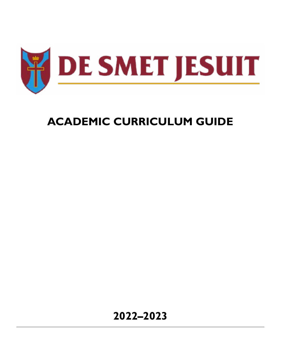

# **ACADEMIC CURRICULUM GUIDE**

**2022–2023**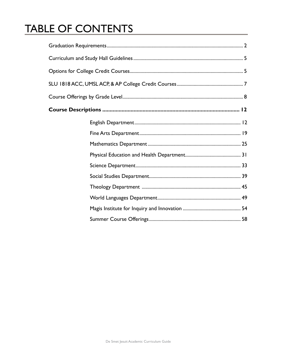# **TABLE OF CONTENTS**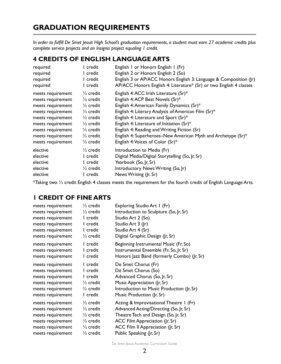## <span id="page-2-0"></span>**GRADUATION REQUIREMENTS**

*In order to fulfill De Smet Jesuit High School's graduation requirements, a student must earn 27 academic credits plus complete service projects and an Insignis project equaling 1 credit.*

## **4 CREDITS OF ENGLISH LANGUAGE ARTS**

| required          | l credit             | English I or Honors English I (Fr)                                 |
|-------------------|----------------------|--------------------------------------------------------------------|
| required          | I credit             | English 2 or Honors English 2 (So)                                 |
| required          | I credit             | English 3 or AP/ACC Honors English 3: Language & Composition (Jr)  |
| required          | I credit             | AP/ACC Honors English 4: Literature* (Sr) or two English 4 classes |
| meets requirement | $\frac{1}{2}$ credit | English 4: ACC Irish Literature (Sr)*                              |
| meets requirement | $\frac{1}{2}$ credit | English 4: ACP Best Novels (Sr)*                                   |
| meets requirement | $\frac{1}{2}$ credit | English 4: American Family Dynamics (Sr)*                          |
| meets requirement | $\frac{1}{2}$ credit | English 4: Literary Analysis of American Film (Sr)*                |
| meets requirement | $\frac{1}{2}$ credit | English 4: Literature and Sport (Sr)*                              |
| meets requirement | $\frac{1}{2}$ credit | English 4: Literature of Initiation (Sr)*                          |
| meets requirement | $\frac{1}{2}$ credit | English 4: Reading and Writing Fiction (Sr)                        |
| meets requirement | $\frac{1}{2}$ credit | English 4: Superheroes–New American Myth and Archetype (Sr)*       |
| meets requirement | $\frac{1}{2}$ credit | English 4: Voices of Color (Sr)*                                   |
| elective          | $\frac{1}{2}$ credit | Introduction to Media (Fr)                                         |
| elective          | I credit             | Digital Media/Digital Storytelling (So, Jr, Sr)                    |
| elective          | l credit             | Yearbook (So, Jr, Sr)                                              |
| elective          | $\frac{1}{2}$ credit | Introductory News Writing (So, Jr)                                 |
| elective          | I credit             | News Writing (Jr, Sr)                                              |

\*Taking two ½ credit English 4 classes meets the requirement for the fourth credit of English Language Arts.

## **1 CREDIT OF FINE ARTS**

| meets requirement | $\frac{1}{2}$ credit | Exploring Studio Art I (Fr)                |
|-------------------|----------------------|--------------------------------------------|
| meets requirement | $\frac{1}{2}$ credit | Introduction to Sculpture (So, Jr, Sr)     |
| meets requirement | I credit             | Studio Art 2 (So)                          |
| meets requirement | I credit             | Studio Art 3 (Jr)                          |
| meets requirement | I credit             | Studio Art 4 (Sr)                          |
| meets requirement | $\frac{1}{2}$ credit | Digital Graphic Design (Jr, Sr)            |
| meets requirement | I credit             | Beginning Instrumental Music (Fr, So)      |
| meets requirement | I credit             | Instrumental Ensemble (Fr, So, Jr, Sr)     |
| meets requirement | I credit             | Honors Jazz Band (formerly Combo) (Jr, Sr) |
| meets requirement | I credit             | De Smet Chorus (Fr)                        |
| meets requirement | I credit             | De Smet Chorus (So)                        |
| meets requirement | I credit             | Advanced Chorus (So, Jr, Sr)               |
| meets requirement | $\frac{1}{2}$ credit | Music Appreciation (Jr, Sr)                |
| meets requirement | $\frac{1}{2}$ credit | Introduction to Music Production (Jr, Sr)  |
| meets requirement | I credit             | Music Production (Jr, Sr)                  |
| meets requirement | $\frac{1}{2}$ credit | Acting & Improvisational Theatre 1 (Fr)    |
| meets requirement | $\frac{1}{2}$ credit | Advanced Acting/Directing (So, Jr, Sr)     |
| meets requirement | $\frac{1}{2}$ credit | Theatre Tech and Design (So, Jr, Sr)       |
| meets requirement | $\frac{1}{2}$ credit | ACC Film Appreciation (Jr, Sr)             |
| meets requirement | $\frac{1}{2}$ credit | ACC Film II Appreciation (Jr, Sr)          |
| meets requirement | $\frac{1}{2}$ credit | Public Speaking (Jr, Sr)                   |

De Smet Jesuit Academic Curriculum Guide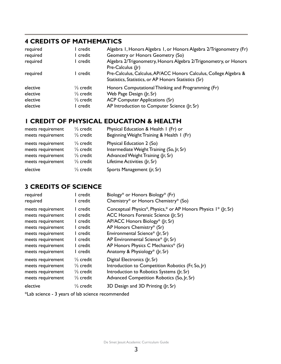## **4 CREDITS OF MATHEMATICS**

| required<br>required | l credit<br>l credit | Algebra 1, Honors Algebra 1, or Honors Algebra 2/Trigonometry (Fr)<br>Geometry or Honors Geometry (So)                    |
|----------------------|----------------------|---------------------------------------------------------------------------------------------------------------------------|
|                      |                      |                                                                                                                           |
| required             | l credit             | Algebra 2/Trigonometry, Honors Algebra 2/Trigonometry, or Honors<br>Pre-Calculus (Jr)                                     |
| required             | l credit             | Pre-Calculus, Calculus, AP/ACC Honors Calculus, College Algebra &<br>Statistics, Statistics, or AP Honors Statistics (Sr) |
| elective             | $\frac{1}{2}$ credit | Honors Computational Thinking and Programming (Fr)                                                                        |
| elective             | $\frac{1}{2}$ credit | Web Page Design (Jr, Sr)                                                                                                  |
| elective             | $\frac{1}{2}$ credit | <b>ACP Computer Applications (Sr)</b>                                                                                     |
| elective             | l credit.            | AP Introduction to Computer Science (Jr, Sr)                                                                              |

## **1 CREDIT OF PHYSICAL EDUCATION & HEALTH**

| meets requirement | $\frac{1}{2}$ credit | Physical Education & Health I (Fr) or     |
|-------------------|----------------------|-------------------------------------------|
| meets requirement | $\frac{1}{2}$ credit | Beginning Weight Training & Health I (Fr) |
| meets requirement | $\frac{1}{2}$ credit | Physical Education 2 (So)                 |
| meets requirement | $\frac{1}{2}$ credit | Intermediate Weight Training (So, Jr, Sr) |
| meets requirement | $\frac{1}{2}$ credit | Advanced Weight Training (Jr, Sr)         |
| meets requirement | $\frac{1}{2}$ credit | Lifetime Activities (Jr, Sr)              |
| elective          | $\frac{1}{2}$ credit | Sports Management (jr, Sr)                |

## **3 CREDITS OF SCIENCE**

| required                                                                                     | I credit                                                                                                             | Biology* or Honors Biology* (Fr)                                                                                                                                             |
|----------------------------------------------------------------------------------------------|----------------------------------------------------------------------------------------------------------------------|------------------------------------------------------------------------------------------------------------------------------------------------------------------------------|
| required                                                                                     | l credit                                                                                                             | Chemistry* or Honors Chemistry* (So)                                                                                                                                         |
| meets requirement                                                                            | l credit                                                                                                             | Conceptual Physics*, Physics,* or AP Honors Physics 1* (Jr, Sr)                                                                                                              |
| meets requirement                                                                            | l credit                                                                                                             | ACC Honors Forensic Science (Jr, Sr)                                                                                                                                         |
| meets requirement                                                                            | l credit                                                                                                             | AP/ACC Honors Biology* (Jr, Sr)                                                                                                                                              |
| meets requirement                                                                            | l credit                                                                                                             | AP Honors Chemistry* (Sr)                                                                                                                                                    |
| meets requirement                                                                            | I credit                                                                                                             | Environmental Science* (Jr, Sr)                                                                                                                                              |
| meets requirement                                                                            | l credit                                                                                                             | AP Environmental Science* (Jr, Sr)                                                                                                                                           |
| meets requirement                                                                            | l credit                                                                                                             | AP Honors Physics C Mechanics* (Sr)                                                                                                                                          |
| meets requirement                                                                            | l credit                                                                                                             | Anatomy & Physiology* (Jr, Sr)                                                                                                                                               |
| meets requirement<br>meets requirement<br>meets requirement<br>meets requirement<br>elective | $\frac{1}{2}$ credit<br>$\frac{1}{2}$ credit<br>$\frac{1}{2}$ credit<br>$\frac{1}{2}$ credit<br>$\frac{1}{2}$ credit | Digital Electronics (Jr, Sr)<br>Introduction to Competition Robotics (Fr, So, Jr)<br>Introduction to Robotics Systems (Jr, Sr)<br>Advanced Competition Robotics (So, Jr, Sr) |
|                                                                                              |                                                                                                                      | 3D Design and 3D Printing (Jr, Sr)                                                                                                                                           |

\*Lab science - 3 years of lab science recommended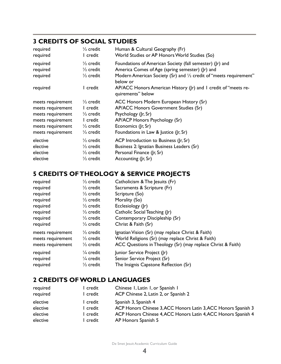## **3 CREDITS OF SOCIAL STUDIES**

| required                                     | $\frac{1}{2}$ credit                                                             | Human & Cultural Geography (Fr)                                                                                                                                                                                                                                                      |
|----------------------------------------------|----------------------------------------------------------------------------------|--------------------------------------------------------------------------------------------------------------------------------------------------------------------------------------------------------------------------------------------------------------------------------------|
| required                                     | I credit                                                                         | World Studies or AP Honors World Studies (So)                                                                                                                                                                                                                                        |
| required<br>required<br>required<br>required | $\frac{1}{2}$ credit<br>$\frac{1}{2}$ credit<br>$\frac{1}{2}$ credit<br>l credit | Foundations of American Society (fall semester) (Jr) and<br>America Comes of Age (spring semester) (Jr) and<br>Modern American Society (Sr) and 1/2 credit of "meets requirement"<br>below or<br>AP/ACC Honors American History (Jr) and I credit of "meets re-<br>quirements" below |
| meets requirement                            | $\frac{1}{2}$ credit                                                             | ACC Honors Modern European History (Sr)                                                                                                                                                                                                                                              |
| meets requirement                            | l credit                                                                         | AP/ACC Honors Government Studies (Sr)                                                                                                                                                                                                                                                |
| meets requirement                            | $\frac{1}{2}$ credit                                                             | Psychology (Jr, Sr)                                                                                                                                                                                                                                                                  |
| meets requirement                            | l credit                                                                         | AP/ACP Honors Psychology (Sr)                                                                                                                                                                                                                                                        |
| meets requirement                            | $\frac{1}{2}$ credit                                                             | Economics (Jr, Sr)                                                                                                                                                                                                                                                                   |
| meets requirement                            | $\frac{1}{2}$ credit                                                             | Foundations in Law & Justice (Jr, Sr)                                                                                                                                                                                                                                                |
| elective                                     | $\frac{1}{2}$ credit                                                             | ACP Introduction to Business (Jr, Sr)                                                                                                                                                                                                                                                |
| elective                                     | $\frac{1}{2}$ credit                                                             | Business 2: Ignatian Business Leaders (Sr)                                                                                                                                                                                                                                           |
| elective                                     | $\frac{1}{2}$ credit                                                             | Personal Finance (Jr, Sr)                                                                                                                                                                                                                                                            |
| elective                                     | $\frac{1}{2}$ credit                                                             | Accounting (Jr, Sr)                                                                                                                                                                                                                                                                  |

## **5 CREDITS OF THEOLOGY & SERVICE PROJECTS**

| required                                                    | $\frac{1}{2}$ credit                                                 | Catholicism & The Jesuits (Fr)                                                                                                                                        |
|-------------------------------------------------------------|----------------------------------------------------------------------|-----------------------------------------------------------------------------------------------------------------------------------------------------------------------|
| required                                                    | $\frac{1}{2}$ credit                                                 | Sacraments & Scripture (Fr)                                                                                                                                           |
| required                                                    | $\frac{1}{2}$ credit                                                 | Scripture (So)                                                                                                                                                        |
| required                                                    | $\frac{1}{2}$ credit                                                 | Morality (So)                                                                                                                                                         |
| required                                                    | $\frac{1}{2}$ credit                                                 | Ecclesiology (Jr)                                                                                                                                                     |
| required                                                    | $\frac{1}{2}$ credit                                                 | Catholic Social Teaching (Jr)                                                                                                                                         |
| required                                                    | $\frac{1}{2}$ credit                                                 | Contemporary Discipleship (Sr)                                                                                                                                        |
| required                                                    | $\frac{1}{2}$ credit                                                 | Christ & Faith (Sr)                                                                                                                                                   |
| meets requirement<br>meets requirement<br>meets requirement | $\frac{1}{2}$ credit<br>$\frac{1}{2}$ credit<br>$\frac{1}{2}$ credit | Ignatian Vision (Sr) (may replace Christ & Faith)<br>World Religions (Sr) (may replace Christ & Faith)<br>ACC Questions in Theology (Sr) (may replace Christ & Faith) |
| required                                                    | $\frac{1}{4}$ credit                                                 | Junior Service Project (Jr)                                                                                                                                           |
| required                                                    | $\frac{1}{4}$ credit                                                 | Senior Service Project (Sr)                                                                                                                                           |
| required                                                    | $\frac{1}{2}$ credit                                                 | The Insignis Capstone Reflection (Sr)                                                                                                                                 |

## **2 CREDITS OF WORLD LANGUAGES**

| required | I credit | Chinese I, Latin I, or Spanish I                               |
|----------|----------|----------------------------------------------------------------|
| required | l credit | ACP Chinese 2, Latin 2, or Spanish 2                           |
| elective | l credit | Spanish 3, Spanish 4                                           |
| elective | l credit | ACP Honors Chinese 3, ACC Honors Latin 3, ACC Honors Spanish 3 |
| elective | l credit | ACP Honors Chinese 4, ACC Honors Latin 4, ACC Honors Spanish 4 |
| elective | l credit | AP Honors Spanish 5                                            |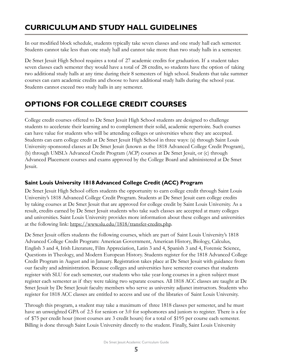## <span id="page-5-0"></span>**CURRICULUM AND STUDY HALL GUIDELINES**

In our modified block schedule, students typically take seven classes and one study hall each semester. Students cannot take less than one study hall and cannot take more than two study halls in a semester.

De Smet Jesuit High School requires a total of 27 academic credits for graduation. If a student takes seven classes each semester they would have a total of 28 credits, so students have the option of taking two additional study halls at any time during their 8 semesters of high school. Students that take summer courses can earn academic credits and choose to have additional study halls during the school year. Students cannot exceed two study halls in any semester.

## **OPTIONS FOR COLLEGE CREDIT COURSES**

College credit courses offered to De Smet Jesuit High School students are designed to challenge students to accelerate their learning and to complement their solid, academic repertoire. Such courses can have value for students who will be attending colleges or universities where they are accepted. Students can earn college credit at De Smet Jesuit High School in three ways: (a) through Saint Louis University-sponsored classes at De Smet Jesuit (known as the 1818 Advanced College Credit Program), (b) through UMSL's Advanced Credit Program (ACP) courses at De Smet Jesuit, or (c) through Advanced Placement courses and exams approved by the College Board and administered at De Smet Jesuit.

## **Saint Louis University 1818 Advanced College Credit (ACC) Program**

De Smet Jesuit High School offers students the opportunity to earn college credit through Saint Louis University's 1818 Advanced College Credit Program. Students at De Smet Jesuit earn college credits by taking courses at De Smet Jesuit that are approved for college credit by Saint Louis University. As a result, credits earned by De Smet Jesuit students who take such classes are accepted at many colleges and universities. Saint Louis University provides more information about these colleges and universities at the following link: https://www.slu.edu/1818/transfer-credits.php.

De Smet Jesuit offers students the following courses, which are part of Saint Louis University's 1818 Advanced College Credit Program: American Government, American History, Biology, Calculus, English 3 and 4, Irish Literature, Film Appreciation, Latin 3 and 4, Spanish 3 and 4, Forensic Science, Questions in Theology, and Modern European History. Students register for the 1818 Advanced College Credit Program in August and in January. Registration takes place at De Smet Jesuit with guidance from our faculty and administration. Because colleges and universities have semester courses that students register with SLU for each semester, our students who take year-long courses in a given subject must register each semester as if they were taking two separate courses. All 1818 ACC classes are taught at De Smet Jesuit by De Smet Jesuit faculty members who serve as university adjunct instructors. Students who register for 1818 ACC classes are entitled to access and use of the libraries of Saint Louis University.

Through this program, a student may take a maximum of three 1818 classes per semester, and he must have an unweighted GPA of 2.5 for seniors or 3.0 for sophomores and juniors to register. There is a fee of \$75 per credit hour (most courses are 3 credit hours) for a total of \$195 per course each semester. Billing is done through Saint Louis University directly to the student. Finally, Saint Louis University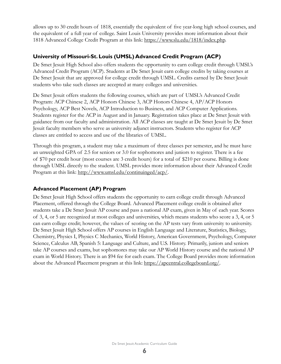allows up to 30 credit hours of 1818, essentially the equivalent of five year-long high school courses, and the equivalent of a full year of college. Saint Louis University provides more information about their 1818 Advanced College Credit Program at this link: https://www.slu.edu/1818/index.php.

### **University of Missouri-St. Louis (UMSL) Advanced Credit Program (ACP)**

De Smet Jesuit High School also offers students the opportunity to earn college credit through UMSL's Advanced Credit Program (ACP). Students at De Smet Jesuit earn college credits by taking courses at De Smet Jesuit that are approved for college credit through UMSL. Credits earned by De Smet Jesuit students who take such classes are accepted at many colleges and universities.

De Smet Jesuit offers students the following courses, which are part of UMSL's Advanced Credit Program: ACP Chinese 2, ACP Honors Chinese 3, ACP Honors Chinese 4, AP/ACP Honors Psychology, ACP Best Novels, ACP Introduction to Business, and ACP Computer Applications. Students register for the ACP in August and in January. Registration takes place at De Smet Jesuit with guidance from our faculty and administration. All ACP classes are taught at De Smet Jesuit by De Smet Jesuit faculty members who serve as university adjunct instructors. Students who register for ACP classes are entitled to access and use of the libraries of UMSL.

Through this program, a student may take a maximum of three classes per semester, and he must have an unweighted GPA of 2.5 for seniors or 3.0 for sophomores and juniors to register. There is a fee of \$70 per credit hour (most courses are 3 credit hours) for a total of \$210 per course. Billing is done through UMSL directly to the student. UMSL provides more information about their Advanced Credit Program at this link: http://www.umsl.edu/continuinged/acp/.

#### **Advanced Placement (AP) Program**

De Smet Jesuit High School offers students the opportunity to earn college credit through Advanced Placement, offered through the College Board. Advanced Placement college credit is obtained after students take a De Smet Jesuit AP course and pass a national AP exam, given in May of each year. Scores of 3, 4, or 5 are recognized at most colleges and universities, which means students who score a 3, 4, or 5 can earn college credit; however, the values of scoring on the AP tests vary from university to university. De Smet Jesuit High School offers AP courses in English Language and Literature, Statistics, Biology, Chemistry, Physics I, Physics C Mechanics, World History, American Government, Psychology, Computer Science, Calculus AB, Spanish 5: Language and Culture, and U.S. History. Primarily, juniors and seniors take AP courses and exams, but sophomores may take our AP World History course and the national AP exam in World History. There is an \$94 fee for each exam. The College Board provides more information about the Advanced Placement program at this link: https://apcentral.collegeboard.org/.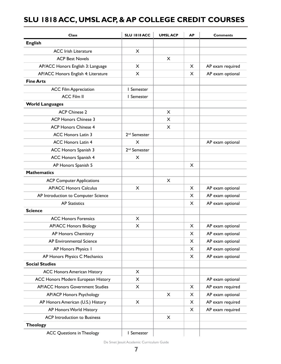## <span id="page-7-0"></span>**SLU 1818 ACC, UMSL ACP, & AP COLLEGE CREDIT COURSES**

| <b>Class</b>                            | <b>SLU 1818 ACC</b>      | <b>UMSLACP</b> | <b>AP</b> | <b>Comments</b>  |
|-----------------------------------------|--------------------------|----------------|-----------|------------------|
| <b>English</b>                          |                          |                |           |                  |
| <b>ACC Irish Literature</b>             | X                        |                |           |                  |
| <b>ACP Best Novels</b>                  |                          | X              |           |                  |
| AP/ACC Honors English 3: Language       | X                        |                | X.        | AP exam required |
| AP/ACC Honors English 4: Literature     | X                        |                | X         | AP exam optional |
| <b>Fine Arts</b>                        |                          |                |           |                  |
| <b>ACC Film Appreciation</b>            | I Semester               |                |           |                  |
| <b>ACC Film II</b>                      | I Semester               |                |           |                  |
| <b>World Languages</b>                  |                          |                |           |                  |
| <b>ACP Chinese 2</b>                    |                          | X              |           |                  |
| <b>ACP Honors Chinese 3</b>             |                          | $\times$       |           |                  |
| <b>ACP Honors Chinese 4</b>             |                          | X              |           |                  |
| <b>ACC Honors Latin 3</b>               | 2 <sup>nd</sup> Semester |                |           |                  |
| <b>ACC Honors Latin 4</b>               | X.                       |                |           | AP exam optional |
| ACC Honors Spanish 3                    | 2 <sup>nd</sup> Semester |                |           |                  |
| <b>ACC Honors Spanish 4</b>             | X                        |                |           |                  |
| AP Honors Spanish 5                     |                          |                | $\times$  |                  |
| <b>Mathematics</b>                      |                          |                |           |                  |
| <b>ACP Computer Applications</b>        |                          | $\times$       |           |                  |
| <b>AP/ACC Honors Calculus</b>           | X                        |                | X         | AP exam optional |
| AP Introduction to Computer Science     |                          |                | X         | AP exam optional |
| <b>AP Statistics</b>                    |                          |                | X.        | AP exam optional |
| <b>Science</b>                          |                          |                |           |                  |
| <b>ACC Honors Forensics</b>             | X                        |                |           |                  |
| <b>AP/ACC Honors Biology</b>            | X                        |                | X         | AP exam optional |
| <b>AP Honors Chemistry</b>              |                          |                | X         | AP exam optional |
| AP Environmental Science                |                          |                | X         | AP exam optional |
| AP Honors Physics I                     |                          |                | $\times$  | AP exam optional |
| AP Honors Physics C Mechanics           |                          |                | $\times$  | AP exam optional |
| <b>Social Studies</b>                   |                          |                |           |                  |
| <b>ACC Honors American History</b>      | X                        |                |           |                  |
| ACC Honors Modern European History      | X                        |                |           | AP exam optional |
| <b>AP/ACC Honors Government Studies</b> | X                        |                | X         | AP exam required |
| <b>AP/ACP Honors Psychology</b>         |                          | X              | X         | AP exam optional |
| AP Honors American (U.S.) History       | X                        |                | $\times$  | AP exam required |
| AP Honors World History                 |                          |                | X         | AP exam required |
| <b>ACP</b> Introduction to Business     |                          | X              |           |                  |
| <b>Theology</b>                         |                          |                |           |                  |
| <b>ACC Questions in Theology</b>        | I Semester               |                |           |                  |

De Smet Jesuit Academic Curriculum Guide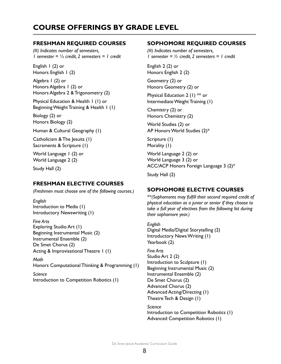## <span id="page-8-0"></span>**COURSE OFFERINGS BY GRADE LEVEL**

#### **FRESHMAN REQUIRED COURSES**

*(#) Indicates number of semesters, 1 semester =* ½ *credit, 2 semesters = 1 credit*

English 1 (2) or Honors English 1 (2)

Algebra 1 (2) or Honors Algebra 1 (2) or Honors Algebra 2 & Trigonometry (2)

Physical Education & Health 1 (1) or Beginning Weight Training & Health 1 (1)

Biology (2) or Honors Biology (2)

Human & Cultural Geography (1)

Catholicism & The Jesuits (1) Sacraments & Scripture (1)

World Language 1 (2) or World Language 2 (2)

Study Hall (2)

### **FRESHMAN ELECTIVE COURSES**

*(Freshmen must choose one of the following courses.)*

*English* Introduction to Media (1) Introductory Newswriting (1)

*Fine Arts* Exploring Studio Art (1) Beginning Instrumental Music (2) Instrumental Ensemble (2) De Smet Chorus (2) Acting & Improvisational Theatre 1 (1)

*Math* Honors Computational Thinking & Programming (1)

*Science* Introduction to Competition Robotics (1)

#### **SOPHOMORE REQUIRED COURSES**

*(#) Indicates number of semesters, 1 semester = ½ credit, 2 semesters = 1 credit*

English 2 (2) or Honors English 2 (2)

Geometry (2) or Honors Geometry (2) or

Physical Education 2 (1) \*\* or Intermediate Weight Training (1)

Chemistry (2) or Honors Chemistry (2)

World Studies (2) or AP Honors World Studies (2)\*

Scripture (1) Morality (1)

World Language 2 (2) or World Language 3 (2) or ACC/ACP Honors Foreign Language 3 (2)\*

Study Hall (2)

## **SOPHOMORE ELECTIVE COURSES**

\*\**(Sophomores may fulfill their second required credit of physical education as a junior or senior if they choose to take a full year of electives from the following list during their sophomore year.)*

*English* Digital Media/Digital Storytelling (2) Introductory News Writing (1) Yearbook (2)

*Fine Arts* Studio Art 2 (2) Introduction to Sculpture (1) Beginning Instrumental Music (2) Instrumental Ensemble (2) De Smet Chorus (2) Advanced Chorus (2) Advanced Acting/Directing (1) Theatre Tech & Design (1)

*Science* Introduction to Competition Robotics (1) Advanced Competition Robotics (1)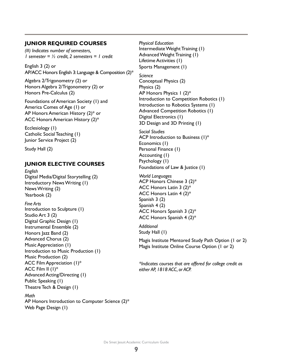#### **JUNIOR REQUIRED COURSES**

*(#) Indicates number of semesters, 1 semester = ½ credit, 2 semesters = 1 credit*

English 3 (2) or AP/ACC Honors English 3: Language & Composition (2)\*

Algebra 2/Trigonometry (2) or Honors Algebra 2/Trigonometry (2) or Honors Pre-Calculus (2)

Foundations of American Society (1) and America Comes of Age (1) or AP Honors American History (2)\* or ACC Honors American History (2)\*

Ecclesiology (1) Catholic Social Teaching (1) Junior Service Project (2)

Study Hall (2)

#### **JUNIOR ELECTIVE COURSES**

*English* Digital Media/Digital Storytelling (2) Introductory News Writing (1) News Writing (2) Yearbook (2)

*Fine Arts* Introduction to Sculpture (1) Studio Art 3 (2) Digital Graphic Design (1) Instrumental Ensemble (2) Honors Jazz Band (2) Advanced Chorus (2) Music Appreciation (1) Introduction to Music Production (1) Music Production (2) ACC Film Appreciation (1)\* ACC Film II (1)\* Advanced Acting/Directing (1) Public Speaking (1) Theatre Tech & Design (1)

#### *Math*

AP Honors Introduction to Computer Science (2)\* Web Page Design (1)

*Physical Education* Intermediate Weight Training (1) Advanced Weight Training (1) Lifetime Activities (1) Sports Management (1)

*Science* Conceptual Physics (2) Physics (2) AP Honors Physics 1 (2)\* Introduction to Competition Robotics (1) Introduction to Robotics Systems (1) Advanced Competition Robotics (1) Digital Electronics (1) 3D Design and 3D Printing (1)

*Social Studies* ACP Introduction to Business (1)\* Economics (1) Personal Finance (1) Accounting (1) Psychology (1) Foundations of Law & Justice (1)

*World Languages* ACP Honors Chinese 3 (2)\* ACC Honors Latin 3 (2)\* ACC Honors Latin 4 (2)\* Spanish 3 (2) Spanish 4 (2) ACC Honors Spanish 3 (2)\* ACC Honors Spanish 4 (2)\*

*Additional* Study Hall (1)

Magis Institute Mentored Study Path Option (1 or 2) Magis Institute Online Course Option (1 or 2)

*\*Indicates courses that are offered for college credit as either AP, 1818 ACC, or ACP.*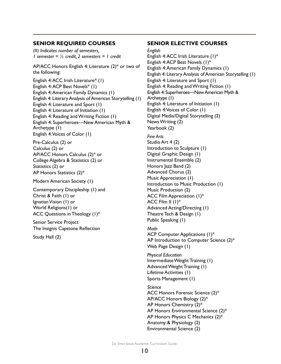#### **SENIOR REQUIRED COURSES**

*(#) Indicates number of semesters, 1 semester = ½ credit, 2 semesters = 1 credit*

AP/ACC Honors English 4: Literature (2)\* or two of the following:

English 4: ACC Irish Literature\* (1) English 4: ACP Best Novels\* (1) English 4: American Family Dynamics (1) English 4: Literary Analysis of American Storytelling (1) English 4: Literature and Sport (1) English 4: Literature of Initiation (1) English 4: Reading and Writing Fiction (1) English 4: Superheroes—New American Myth & Archetype (1) English 4: Voices of Color (1)

Pre-Calculus (2) or Calculus (2) or AP/ACC Honors Calculus (2)\* or College Algebra & Statistics (2) or Statistics (2) or AP Honors Statistics (2)\*

Modern American Society (1)

Contemporary Discipleship (1) and Christ & Faith (1) or Ignatian Vision (1) or World Religions(1) or ACC Questions in Theology (1)\*

Senior Service Project The Insignis Capstone Reflection

Study Hall (2)

**SENIOR ELECTIVE COURSES** *English* English 4: ACC Irish Literature (1)\* English 4: ACP Best Novels (1)\* English 4: American Family Dynamics (1) English 4: Literary Analysis of American Storytelling (1) English 4: Literature and Sport (1) English 4: Reading and Writing Fiction (1) English 4: Superheroes—New American Myth & Archetype (1) English 4: Literature of Initiation (1) English 4: Voices of Color (1) Digital Media/Digital Storytelling (2) News Writing (2) Yearbook (2) *Fine Arts* Studio Art 4 (2) Introduction to Sculpture (1) Digital Graphic Design (1)

Instrumental Ensemble (2) Honors Jazz Band (2) Advanced Chorus (2) Music Appreciation (1) Introduction to Music Production (1) Music Production (2) ACC Film Appreciation (1)\* ACC Film II (1)\* Advanced Acting/Directing (1) Theatre Tech & Design (1) Public Speaking (1)

*Math* ACP Computer Applications (1)\* AP Introduction to Computer Science (2)\* Web Page Design (1)

*Physical Education* Intermediate Weight Training (1) Advanced Weight Training (1) Lifetime Activities (1) Sports Management (1)

*Science* ACC Honors Forensic Science (2)\* AP/ACC Honors Biology (2)\* AP Honors Chemistry (2)\* AP Honors Environmental Science (2)\* AP Honors Physics C Mechanics (2)\* Anatomy & Physiology (2) Environmental Science (2)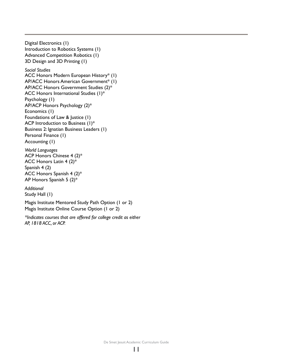Digital Electronics (1) Introduction to Robotics Systems (1) Advanced Competition Robotics (1) 3D Design and 3D Printing (1)

#### *Social Studies*

ACC Honors Modern European History\* (1) AP/ACC Honors American Government\* (1) AP/ACC Honors Government Studies (2)\* ACC Honors International Studies (1)\* Psychology (1) AP/ACP Honors Psychology (2)\* Economics (1) Foundations of Law & Justice (1) ACP Introduction to Business (1)\* Business 2: Ignatian Business Leaders (1) Personal Finance (1) Accounting (1)

*World Languages* ACP Honors Chinese 4 (2)\* ACC Honors Latin 4 (2)\* Spanish 4 (2) ACC Honors Spanish 4 (2)\* AP Honors Spanish 5 (2)\*

*Additional* Study Hall (1)

Magis Institute Mentored Study Path Option (1 or 2) Magis Institute Online Course Option (1 or 2)

*\*Indicates courses that are offered for college credit as either AP, 1818 ACC, or ACP.*

De Smet Jesuit Academic Curriculum Guide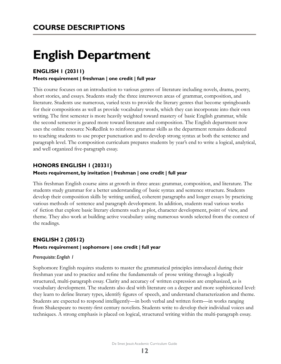# <span id="page-12-0"></span>**English Department**

## **ENGLISH 1 (20311)**

#### **Meets requirement | freshman | one credit | full year**

This course focuses on an introduction to various genres of literature including novels, drama, poetry, short stories, and essays. Students study the three interwoven areas of grammar, composition, and literature. Students use numerous, varied texts to provide the literary genres that become springboards for their compositions as well as provide vocabulary words, which they can incorporate into their own writing. The first semester is more heavily weighted toward mastery of basic English grammar, while the second semester is geared more toward literature and composition. The English department now uses the online resource NoRedInk to reinforce grammar skills as the department remains dedicated to teaching students to use proper punctuation and to develop strong syntax at both the sentence and paragraph level. The composition curriculum prepares students by year's end to write a logical, analytical, and well organized five-paragraph essay.

### **HONORS ENGLISH 1 (20331)**

#### **Meets requirement, by invitation | freshman | one credit | full year**

This freshman English course aims at growth in three areas: grammar, composition, and literature. The students study grammar for a better understanding of basic syntax and sentence structure. Students develop their composition skills by writing unified, coherent paragraphs and longer essays by practicing various methods of sentence and paragraph development. In addition, students read various works of fiction that explore basic literary elements such as plot, character development, point of view, and theme. They also work at building active vocabulary using numerous words selected from the context of the readings.

## **ENGLISH 2 (20512) Meets requirement | sophomore | one credit | full year**

#### *Prerequisite: English 1*

Sophomore English requires students to master the grammatical principles introduced during their freshman year and to practice and refine the fundamentals of prose writing through a logically structured, multi-paragraph essay. Clarity and accuracy of written expression are emphasized, as is vocabulary development. The students also deal with literature on a deeper and more sophisticated level: they learn to define literary types, identify figures of speech, and understand characterization and theme. Students are expected to respond intelligently—in both verbal and written form—in works ranging from Shakespeare to twenty-first century novelists. Students write to develop their individual voices and techniques. A strong emphasis is placed on logical, structured writing within the multi-paragraph essay.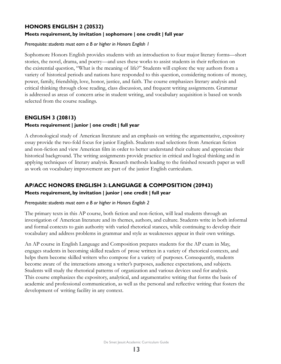## **HONORS ENGLISH 2 (20532)**

#### **Meets requirement, by invitation | sophomore | one credit | full year**

#### *Prerequisite: students must earn a B or higher in Honors English 1*

Sophomore Honors English provides students with an introduction to four major literary forms—short stories, the novel, drama, and poetry—and uses these works to assist students in their reflection on the existential question, "What is the meaning of life?" Students will explore the way authors from a variety of historical periods and nations have responded to this question, considering notions of money, power, family, friendship, love, honor, justice, and faith. The course emphasizes literary analysis and critical thinking through close reading, class discussion, and frequent writing assignments. Grammar is addressed as areas of concern arise in student writing, and vocabulary acquisition is based on words selected from the course readings.

## **ENGLISH 3 (20813) Meets requirement | junior | one credit | full year**

A chronological study of American literature and an emphasis on writing the argumentative, expository essay provide the two-fold focus for junior English. Students read selections from American fiction and non-fiction and view American film in order to better understand their culture and appreciate their historical background. The writing assignments provide practice in critical and logical thinking and in applying techniques of literary analysis. Research methods leading to the finished research paper as well as work on vocabulary improvement are part of the junior English curriculum.

## **AP/ACC HONORS ENGLISH 3: LANGUAGE & COMPOSITION (20943)**

#### **Meets requirement, by invitation | junior | one credit | full year**

#### *Prerequisite: students must earn a B or higher in Honors English 2*

The primary texts in this AP course, both fiction and non-fiction, will lead students through an investigation of American literature and its themes, authors, and culture. Students write in both informal and formal contexts to gain authority with varied rhetorical stances, while continuing to develop their vocabulary and address problems in grammar and style as weaknesses appear in their own writings.

An AP course in English Language and Composition prepares students for the AP exam in May, engages students in becoming skilled readers of prose written in a variety of rhetorical contexts, and helps them become skilled writers who compose for a variety of purposes. Consequently, students become aware of the interactions among a writer's purposes, audience expectations, and subjects. Students will study the rhetorical patterns of organization and various devices used for analysis. This course emphasizes the expository, analytical, and argumentative writing that forms the basis of academic and professional communication, as well as the personal and reflective writing that fosters the development of writing facility in any context.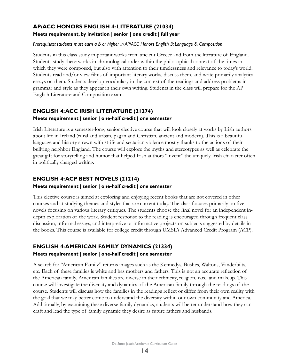### **AP/ACC HONORS ENGLISH 4: LITERATURE (21034) Meets requirement, by invitation | senior | one credit | full year**

#### *Prerequisite: students must earn a B or higher in AP/ACC Honors English 3: Language & Composition*

Students in this class study important works from ancient Greece and from the literature of England. Students study these works in chronological order within the philosophical context of the times in which they were composed, but also with attention to their timelessness and relevance to today's world. Students read and/or view films of important literary works, discuss them, and write primarily analytical essays on them. Students develop vocabulary in the context of the readings and address problems in grammar and style as they appear in their own writing. Students in the class will prepare for the AP English Literature and Composition exam.

#### **ENGLISH 4: ACC IRISH LITERATURE (21274) Meets requirement | senior | one-half credit | one semester**

Irish Literature is a semester-long, senior elective course that will look closely at works by Irish authors about life in Ireland (rural and urban, pagan and Christian, ancient and modern). This is a beautiful language and history strewn with strife and sectarian violence mostly thanks to the actions of their bullying neighbor England. The course will explore the myths and stereotypes as well as celebrate the great gift for storytelling and humor that helped Irish authors "invent" the uniquely Irish character often in politically charged writing.

### **ENGLISH 4: ACP BEST NOVELS (21214)**

#### **Meets requirement | senior | one-half credit | one semester**

This elective course is aimed at exploring and enjoying recent books that are not covered in other courses and at studying themes and styles that are current today. The class focuses primarily on five novels focusing on various literary critiques. The students choose the final novel for an independent indepth exploration of the work. Student response to the reading is encouraged through frequent class discussion, informal essays, and interpretive or informative projects on subjects suggested by details in the books. This course is available for college credit through UMSL's Advanced Credit Program (ACP).

## **ENGLISH 4: AMERICAN FAMILY DYNAMICS (21334) Meets requirement | senior | one-half credit | one semester**

A search for "American Family" returns images such as the Kennedys, Bushes, Waltons, Vanderbilts, etc. Each of these families is white and has mothers and fathers. This is not an accurate reflection of the American family. American families are diverse in their ethnicity, religion, race, and makeup. This course will investigate the diversity and dynamics of the American family through the readings of the course. Students will discuss how the families in the readings reflect or differ from their own reality with the goal that we may better come to understand the diversity within our own community and America. Additionally, by examining these diverse family dynamics, students will better understand how they can craft and lead the type of family dynamic they desire as future fathers and husbands.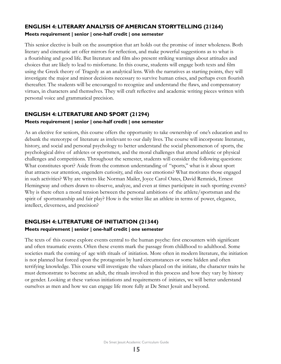## **ENGLISH 4: LITERARY ANALYSIS OF AMERICAN STORYTELLING (21264) Meets requirement | senior | one-half credit | one semester**

This senior elective is built on the assumption that art holds out the promise of inner wholeness. Both literary and cinematic art offer mirrors for reflection, and make powerful suggestions as to what is a flourishing and good life. But literature and film also present striking warnings about attitudes and choices that are likely to lead to misfortune. In this course, students will engage both texts and film using the Greek theory of Tragedy as an analytical lens. With the narratives as starting points, they will investigate the major and minor decisions necessary to survive human crises, and perhaps even flourish thereafter. The students will be encouraged to recognize and understand the flaws, and compensatory virtues, in characters and themselves. They will craft reflective and academic writing pieces written with personal voice and grammatical precision.

## **ENGLISH 4: LITERATURE AND SPORT (21294)**

#### **Meets requirement | senior | one-half credit | one semester**

As an elective for seniors, this course offers the opportunity to take ownership of one's education and to debunk the stereotype of literature as irrelevant to our daily lives. The course will incorporate literature, history, and social and personal psychology to better understand the social phenomenon of sports, the psychological drive of athletes or sportsmen, and the moral challenges that attend athletic or physical challenges and competitions. Throughout the semester, students will consider the following questions: What constitutes sport? Aside from the common understanding of "sports," what is it about sport that attracts our attention, engenders curiosity, and riles our emotions? What motivates those engaged in such activities? Why are writers like Norman Mailer, Joyce Carol Oates, David Remnick, Ernest Hemingway and others drawn to observe, analyze, and even at times participate in such sporting events? Why is there often a moral tension between the personal ambitions of the athlete/sportsman and the spirit of sportsmanship and fair play? How is the writer like an athlete in terms of power, elegance, intellect, cleverness, and precision?

## **ENGLISH 4: LITERATURE OF INITIATION (21344) Meets requirement | senior | one-half credit | one semester**

The texts of this course explore events central to the human psyche: first encounters with significant and often traumatic events. Often these events mark the passage from childhood to adulthood. Some societies mark the coming of age with rituals of initiation. More often in modern literature, the initiation is not planned but forced upon the protagonist by hard circumstances or some hidden and often terrifying knowledge. This course will investigate the values placed on the initiate, the character traits he must demonstrate to become an adult, the rituals involved in this process and how they vary by history or gender. Looking at these various initiations and requirements of initiates, we will better understand ourselves as men and how we can engage life more fully at De Smet Jesuit and beyond.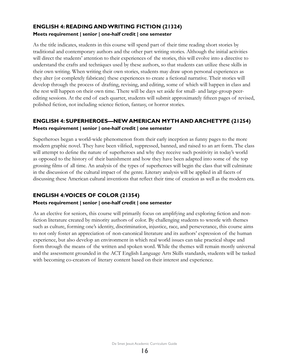## **ENGLISH 4: READING AND WRITING FICTION (21324) Meets requirement | senior | one-half credit | one semester**

As the title indicates, students in this course will spend part of their time reading short stories by traditional and contemporary authors and the other part writing stories. Although the initial activities will direct the students' attention to their experiences of the stories, this will evolve into a directive to understand the crafts and techniques used by these authors, so that students can utilize these skills in their own writing. When writing their own stories, students may draw upon personal experiences as they alter (or completely fabricate) these experiences to create a fictional narrative. Their stories will develop through the process of drafting, revising, and editing, some of which will happen in class and the rest will happen on their own time. There will be days set aside for small- and large-group peerediting sessions. At the end of each quarter, students will submit approximately fifteen pages of revised, polished fiction, not including science fiction, fantasy, or horror stories.

## **ENGLISH 4: SUPERHEROES—NEW AMERICAN MYTH AND ARCHETYPE (21254) Meets requirement | senior | one-half credit | one semester**

Superheroes began a world-wide phenomenon from their early inception as funny pages to the more modern graphic novel. They have been vilified, suppressed, banned, and raised to an art form. The class will attempt to define the nature of superheroes and why they receive such positivity in today's world as opposed to the history of their banishment and how they have been adapted into some of the top grossing films of all time. An analysis of the types of superheroes will begin the class that will culminate in the discussion of the cultural impact of the genre. Literary analysis will be applied in all facets of discussing these American cultural inventions that reflect their time of creation as well as the modern era.

## **ENGLISH 4: VOICES OF COLOR (21354) Meets requirement | senior | one-half credit | one semester**

As an elective for seniors, this course will primarily focus on amplifying and exploring fiction and nonfiction literature created by minority authors of color. By challenging students to wrestle with themes such as culture, forming one's identity, discrimination, injustice, race, and perseverance, this course aims to not only foster an appreciation of non-canonical literature and its authors' expression of the human experience, but also develop an environment in which real world issues can take practical shape and form through the means of the written and spoken word. While the themes will remain mostly universal and the assessment grounded in the ACT English Language Arts Skills standards, students will be tasked with becoming co-creators of literary content based on their interest and experience.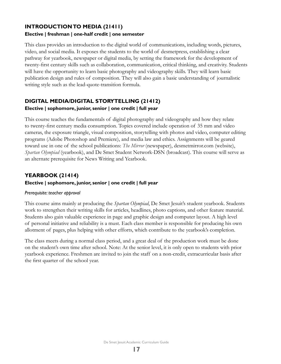### **INTRODUCTION TO MEDIA (21411) Elective | freshman | one-half credit | one semester**

This class provides an introduction to the digital world of communications, including words, pictures, video, and social media. It exposes the students to the world of desmetpress, establishing a clear pathway for yearbook, newspaper or digital media, by setting the framework for the development of twenty-first century skills such as collaboration, communication, critical thinking, and creativity. Students will have the opportunity to learn basic photography and videography skills. They will learn basic publication design and rules of composition. They will also gain a basic understanding of journalistic writing style such as the lead-quote-transition formula.

## **DIGITAL MEDIA/DIGITAL STORYTELLING (21412)**

#### **Elective | sophomore, junior, senior | one credit | full year**

This course teaches the fundamentals of digital photography and videography and how they relate to twenty-first century media consumption. Topics covered include operation of 35 mm and video cameras, the exposure triangle, visual composition, storytelling with photos and video, computer editing programs (Adobe Photoshop and Premiere), and media law and ethics. Assignments will be geared toward use in one of the school publications: *The Mirror* (newspaper), desmetmirror.com (website), *Spartan Olympiad* (yearbook), and De Smet Student Network-DSN (broadcast). This course will serve as an alternate prerequisite for News Writing and Yearbook.

## **YEARBOOK (21414)**

#### **Elective | sophomore, junior, senior | one credit | full year**

#### *Prerequisite: teacher approval*

This course aims mainly at producing the *Spartan Olympiad*, De Smet Jesuit's student yearbook. Students work to strengthen their writing skills for articles, headlines, photo captions, and other feature material. Students also gain valuable experience in page and graphic design and computer layout. A high level of personal initiative and reliability is a must. Each class member is responsible for producing his own allotment of pages, plus helping with other efforts, which contribute to the yearbook's completion.

The class meets during a normal class period, and a great deal of the production work must be done on the student's own time after school. Note: At the senior level, it is only open to students with prior yearbook experience. Freshmen are invited to join the staff on a non-credit, extracurricular basis after the first quarter of the school year.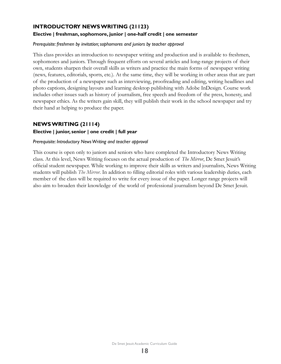## **INTRODUCTORY NEWS WRITING (21123)**

#### **Elective | freshman, sophomore, junior | one-half credit | one semester**

#### *Prerequisite: freshmen by invitation; sophomores and juniors by teacher approval*

This class provides an introduction to newspaper writing and production and is available to freshmen, sophomores and juniors. Through frequent efforts on several articles and long-range projects of their own, students sharpen their overall skills as writers and practice the main forms of newspaper writing (news, features, editorials, sports, etc.). At the same time, they will be working in other areas that are part of the production of a newspaper such as interviewing, proofreading and editing, writing headlines and photo captions, designing layouts and learning desktop publishing with Adobe InDesign. Course work includes other issues such as history of journalism, free speech and freedom of the press, honesty, and newspaper ethics. As the writers gain skill, they will publish their work in the school newspaper and try their hand at helping to produce the paper.

### **NEWS WRITING (21114)**

#### **Elective | junior, senior | one credit | full year**

#### *Prerequisite: Introductory News Writing and teacher approval*

This course is open only to juniors and seniors who have completed the Introductory News Writing class. At this level, News Writing focuses on the actual production of *The Mirror*, De Smet Jesuit's official student newspaper. While working to improve their skills as writers and journalists, News Writing students will publish *The Mirror*. In addition to filling editorial roles with various leadership duties, each member of the class will be required to write for every issue of the paper. Longer range projects will also aim to broaden their knowledge of the world of professional journalism beyond De Smet Jesuit.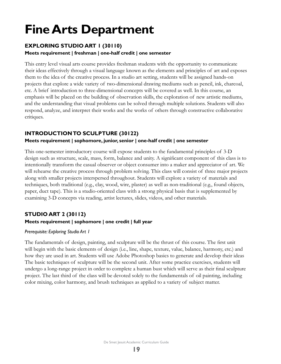# <span id="page-19-0"></span>**Fine Arts Department**

## **EXPLORING STUDIO ART 1 (30110)**

#### **Meets requirement | freshman | one-half credit | one semester**

This entry level visual arts course provides freshman students with the opportunity to communicate their ideas effectively through a visual language known as the elements and principles of art and exposes them to the idea of the creative process. In a studio art setting, students will be assigned hands-on projects that explore a wide variety of two-dimensional drawing mediums such as pencil, ink, charcoal, etc. A brief introduction to three-dimensional concepts will be covered as well. In this course, an emphasis will be placed on the building of observation skills, the exploration of new artistic mediums, and the understanding that visual problems can be solved through multiple solutions. Students will also respond, analyze, and interpret their works and the works of others through constructive collaborative critiques.

## **INTRODUCTION TO SCULPTURE (30122)**

### **Meets requirement | sophomore, junior, senior | one-half credit | one semester**

This one-semester introductory course will expose students to the fundamental principles of 3-D design such as structure, scale, mass, form, balance and unity. A significant component of this class is to intentionally transform the casual observer or object consumer into a maker and appreciator of art. We will rehearse the creative process through problem solving. This class will consist of three major projects along with smaller projects interspersed throughout. Students will explore a variety of materials and techniques, both traditional (e.g., clay, wood, wire, plaster) as well as non-traditional (e.g., found objects, paper, duct tape). This is a studio-oriented class with a strong physical basis that is supplemented by examining 3-D concepts via reading, artist lectures, slides, videos, and other materials.

## **STUDIO ART 2 (30112) Meets requirement | sophomore | one credit | full year**

#### *Prerequisite: Exploring Studio Art 1*

The fundamentals of design, painting, and sculpture will be the thrust of this course. The first unit will begin with the basic elements of design (i.e., line, shape, texture, value, balance, harmony, etc.) and how they are used in art. Students will use Adobe Photoshop basics to generate and develop their ideas The basic techniques of sculpture will be the second unit. After some practice exercises, students will undergo a long-range project in order to complete a human bust which will serve as their final sculpture project. The last third of the class will be devoted solely to the fundamentals of oil painting, including color mixing, color harmony, and brush techniques as applied to a variety of subject matter.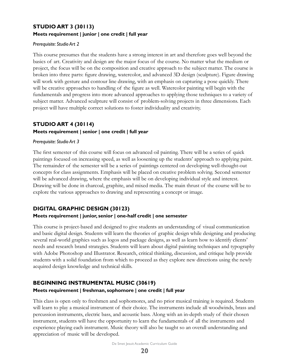## **STUDIO ART 3 (30113) Meets requirement | junior | one credit | full year**

#### *Prerequisite: Studio Art 2*

This course presumes that the students have a strong interest in art and therefore goes well beyond the basics of art. Creativity and design are the major focus of the course. No matter what the medium or project, the focus will be on the composition and creative approach to the subject matter. The course is broken into three parts: figure drawing, watercolor, and advanced 3D design (sculpture). Figure drawing will work with gesture and contour line drawing, with an emphasis on capturing a pose quickly. There will be creative approaches to handling of the figure as well. Watercolor painting will begin with the fundamentals and progress into more advanced approaches to applying those techniques to a variety of subject matter. Advanced sculpture will consist of problem-solving projects in three dimensions. Each project will have multiple correct solutions to foster individuality and creativity.

### **STUDIO ART 4 (30114)**

#### **Meets requirement | senior | one credit | full year**

#### *Prerequisite: Studio Art 3*

The first semester of this course will focus on advanced oil painting. There will be a series of quick paintings focused on increasing speed, as well as loosening up the students' approach to applying paint. The remainder of the semester will be a series of paintings centered on developing well-thought-out concepts for class assignments. Emphasis will be placed on creative problem solving. Second semester will be advanced drawing, where the emphasis will be on developing individual style and interest. Drawing will be done in charcoal, graphite, and mixed media. The main thrust of the course will be to explore the various approaches to drawing and representing a concept or image.

#### **DIGITAL GRAPHIC DESIGN (30123)**

#### **Meets requirement | junior, senior | one-half credit | one semester**

This course is project-based and designed to give students an understanding of visual communication and basic digital design. Students will learn the theories of graphic design while designing and producing several real-world graphics such as logos and package designs, as well as learn how to identify clients' needs and research brand strategies. Students will learn about digital painting techniques and typography with Adobe Photoshop and Illustrator. Research, critical thinking, discussion, and critique help provide students with a solid foundation from which to proceed as they explore new directions using the newly acquired design knowledge and technical skills.

## **BEGINNING INSTRUMENTAL MUSIC (30619)**

#### **Meets requirement | freshman, sophomore | one credit | full year**

This class is open only to freshmen and sophomores, and no prior musical training is required. Students will learn to play a musical instrument of their choice. The instruments include all woodwinds, brass and percussion instruments, electric bass, and acoustic bass. Along with an in-depth study of their chosen instrument, students will have the opportunity to learn the fundamentals of all the instruments and experience playing each instrument. Music theory will also be taught so an overall understanding and appreciation of music will be developed.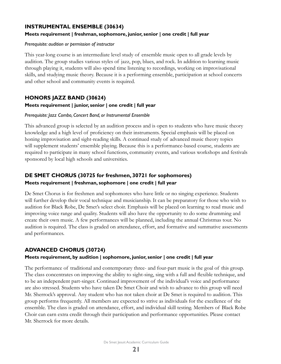## **INSTRUMENTAL ENSEMBLE (30634)**

#### **Meets requirement | freshman, sophomore, junior, senior | one credit | full year**

#### *Prerequisite: audition or permission of instructor*

This year-long course is an intermediate level study of ensemble music open to all grade levels by audition. The group studies various styles of jazz, pop, blues, and rock. In addition to learning music through playing it, students will also spend time listening to recordings, working on improvisational skills, and studying music theory. Because it is a performing ensemble, participation at school concerts and other school and community events is required.

## **HONORS JAZZ BAND (30624)**

#### **Meets requirement | junior, senior | one credit | full year**

#### *Prerequisite: Jazz Combo, Concert Band, or Instrumental Ensemble*

This advanced group is selected by an audition process and is open to students who have music theory knowledge and a high level of proficiency on their instruments. Special emphasis will be placed on honing improvisation and sight-reading skills. A continued study of advanced music theory topics will supplement students' ensemble playing. Because this is a performance-based course, students are required to participate in many school functions, community events, and various workshops and festivals sponsored by local high schools and universities.

## **DE SMET CHORUS (30725 for freshmen, 30721 for sophomores) Meets requirement | freshman, sophomore | one credit | full year**

De Smet Chorus is for freshmen and sophomores who have little or no singing experience. Students will further develop their vocal technique and musicianship. It can be preparatory for those who wish to audition for Black Robe, De Smet's select choir. Emphasis will be placed on learning to read music and improving voice range and quality. Students will also have the opportunity to do some drumming and create their own music. A few performances will be planned, including the annual Christmas tour. No audition is required. The class is graded on attendance, effort, and formative and summative assessments and performances.

## **ADVANCED CHORUS (30724)**

#### **Meets requirement, by audition | sophomore, junior, senior | one credit | full year**

The performance of traditional and contemporary three- and four-part music is the goal of this group. The class concentrates on improving the ability to sight-sing, sing with a full and flexible technique, and to be an independent part-singer. Continued improvement of the individual's voice and performance are also stressed. Students who have taken De Smet Choir and wish to advance to this group will need Mr. Sherrock's approval. Any student who has not taken choir at De Smet is required to audition. This group performs frequently. All members are expected to strive as individuals for the excellence of the ensemble. The class is graded on attendance, effort, and individual skill testing. Members of Black Robe Choir can earn extra credit through their participation and performance opportunities. Please contact Mr. Sherrock for more details.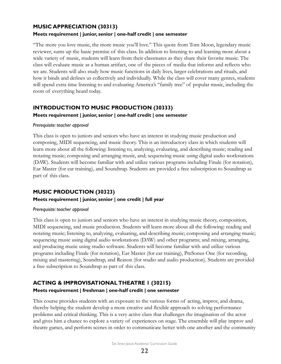## **MUSIC APPRECIATION (30313)**

#### **Meets requirement | junior, senior | one-half credit | one semester**

"The more you love music, the more music you'll love." This quote from Tom Moon, legendary music reviewer, sums up the basic premise of this class. In addition to listening to and learning more about a wide variety of music, students will learn from their classmates as they share their favorite music. The class will evaluate music as a human artifact, one of the pieces of media that informs and reflects who we are. Students will also study how music functions in daily lives, larger celebrations and rituals, and how it binds and defines us collectively and individually. While the class will cover many genres, students will spend extra time listening to and evaluating America's "family tree" of popular music, including the roots of everything heard today.

## **INTRODUCTION TO MUSIC PRODUCTION (30333) Meets requirement | junior, senior | one-half credit | one semester**

#### *Prerequisite: teacher approval*

This class is open to juniors and seniors who have an interest in studying music production and composing, MIDI sequencing, and music theory. This is an introductory class in which students will learn more about all the following: listening to, analyzing, evaluating, and describing music; reading and notating music; composing and arranging music, and; sequencing music using digital audio workstations (DAW). Students will become familiar with and utilize various programs including Finale (for notation), Ear Master (for ear training), and Soundtrap. Students are provided a free subscription to Soundtrap as part of this class.

## **MUSIC PRODUCTION (30323)**

#### **Meets requirement | junior, senior | one credit | full year**

#### *Prerequisite: teacher approval*

This class is open to juniors and seniors who have an interest in studying music theory, composition, MIDI sequencing, and music production. Students will learn more about all the following: reading and notating music; listening to, analyzing, evaluating, and describing music; composing and arranging music; sequencing music using digital audio workstations (DAW) and other programs; and mixing, arranging, and producing music using studio software. Students will become familiar with and utilize various programs including Finale (for notation), Ear Master (for ear training), PreSonus One (for recording, mixing and mastering), Soundtrap, and Reason (for studio and audio production). Students are provided a free subscription to Soundtrap as part of this class.

## **ACTING & IMPROVISATIONAL THEATRE 1 (30215)**

## **Meets requirement | freshman | one-half credit | one semester**

This course provides students with an exposure to the various forms of acting, improv, and drama, thereby helping the student develop a more creative and flexible approach to solving performance problems and critical thinking. This is a very active class that challenges the imagination of the actor and gives him a chance to explore a variety of experiences on stage. The ensemble will play improv and theatre games, and perform scenes in order to communicate better with one another and the community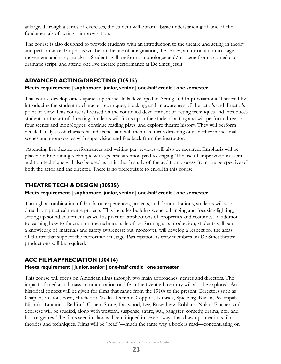at large. Through a series of exercises, the student will obtain a basic understanding of one of the fundamentals of acting—improvisation.

The course is also designed to provide students with an introduction to the theatre and acting in theory and performance. Emphasis will be on the use of imagination, the senses, an introduction to stage movement, and script analysis. Students will perform a monologue and/or scene from a comedic or dramatic script, and attend one live theatre performance at De Smet Jesuit.

## **ADVANCED ACTING/DIRECTING (30515)**

#### **Meets requirement | sophomore, junior, senior | one-half credit | one semester**

This course develops and expands upon the skills developed in Acting and Improvisational Theatre I by introducing the student to character techniques, blocking, and an awareness of the actor's and director's point of view. This course is focused on the continued development of acting techniques and introduces students to the art of directing. Students will focus upon the study of acting and will perform three or four scenes and monologues, continue reading plays, and explore theatre history. They will perform detailed analyses of characters and scenes and will then take turns directing one another in the small scenes and monologues with supervision and feedback from the instructor.

 Attending live theatre performances and writing play reviews will also be required. Emphasis will be placed on fine-tuning technique with specific attention paid to staging. The use of improvisation as an audition technique will also be used as an in-depth study of the audition process from the perspective of both the actor and the director. There is no prerequisite to enroll in this course.

#### **THEATRE TECH & DESIGN (30535)**

#### **Meets requirement | sophomore, junior, senior | one-half credit | one semester**

Through a combination of hands-on experiences, projects, and demonstrations, students will work directly on practical theatre projects. This includes building scenery, hanging and focusing lighting, setting up sound equipment, as well as practical applications of properties and costumes. In addition to learning how to function on the technical side of performing arts production, students will gain a knowledge of materials and safety awareness; but, moreover, will develop a respect for the areas of theatre that support the performer on stage. Participation as crew members on De Smet theatre productions will be required.

## **ACC FILM APPRECIATION (30414)**

#### **Meets requirement | junior, senior | one-half credit | one semester**

This course will focus on American films through two main approaches: genres and directors. The impact of media and mass communication on life in the twentieth century will also be explored. An historical context will be given for films that range from the 1910s to the present. Directors such as Chaplin, Keaton, Ford, Hitchcock, Welles, Demme, Coppola, Kubrick, Spielberg, Kazan, Peckinpah, Nichols, Tarantino, Redford, Cohen, Stone, Eastwood, Lee, Rosenberg, Robbins, Nolan, Fincher, and Scorsese will be studied, along with western, suspense, satire, war, gangster, comedy, drama, noir and horror genres. The films seen in class will be critiqued in several ways that draw upon various film theories and techniques. Films will be "read"—much the same way a book is read—concentrating on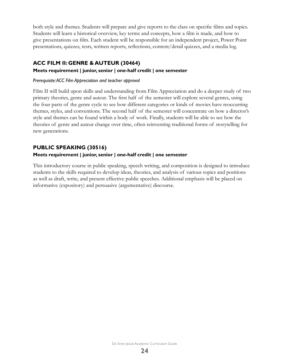both style and themes. Students will prepare and give reports to the class on specific films and topics. Students will learn a historical overview, key terms and concepts, how a film is made, and how to give presentations on film. Each student will be responsible for an independent project, Power Point presentations, quizzes, tests, written reports, reflections, content/detail quizzes, and a media log.

## **ACC FILM II: GENRE & AUTEUR (30464)**

#### **Meets requirement | junior, senior | one-half credit | one semester**

#### *Prerequisite: ACC Film Appreciation and teacher approval*

Film II will build upon skills and understanding from Film Appreciation and do a deeper study of two primary theories, genre and auteur. The first half of the semester will explore several genres, using the four parts of the genre cycle to see how different categories or kinds of movies have reoccurring themes, styles, and conventions. The second half of the semester will concentrate on how a director's style and themes can be found within a body of work. Finally, students will be able to see how the theories of genre and auteur change over time, often reinventing traditional forms of storytelling for new generations.

## **PUBLIC SPEAKING (30516)**

#### **Meets requirement | junior, senior | one-half credit | one semester**

This introductory course in public speaking, speech writing, and composition is designed to introduce students to the skills required to develop ideas, theories, and analysis of various topics and positions as well as draft, write, and present effective public speeches. Additional emphasis will be placed on informative (expository) and persuasive (argumentative) discourse.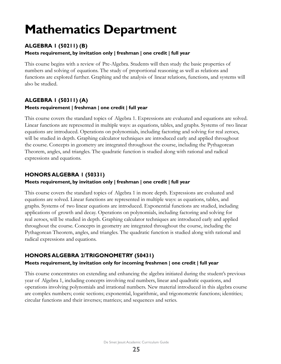# <span id="page-25-0"></span>**Mathematics Department**

## **ALGEBRA 1 (50211) (B)**

#### **Meets requirement, by invitation only | freshman | one credit | full year**

This course begins with a review of Pre-Algebra. Students will then study the basic properties of numbers and solving of equations. The study of proportional reasoning as well as relations and functions are explored further. Graphing and the analysis of linear relations, functions, and systems will also be studied.

## **ALGEBRA 1 (50311) (A) Meets requirement | freshman | one credit | full year**

This course covers the standard topics of Algebra 1. Expressions are evaluated and equations are solved. Linear functions are represented in multiple ways: as equations, tables, and graphs. Systems of two linear equations are introduced. Operations on polynomials, including factoring and solving for real zeroes, will be studied in depth. Graphing calculator techniques are introduced early and applied throughout the course. Concepts in geometry are integrated throughout the course, including the Pythagorean Theorem, angles, and triangles. The quadratic function is studied along with rational and radical expressions and equations.

## **HONORS ALGEBRA 1 (50331)**

#### **Meets requirement, by invitation only | freshman | one credit | full year**

This course covers the standard topics of Algebra 1 in more depth. Expressions are evaluated and equations are solved. Linear functions are represented in multiple ways: as equations, tables, and graphs. Systems of two linear equations are introduced. Exponential functions are studied, including applications of growth and decay. Operations on polynomials, including factoring and solving for real zeroes, will be studied in depth. Graphing calculator techniques are introduced early and applied throughout the course. Concepts in geometry are integrated throughout the course, including the Pythagorean Theorem, angles, and triangles. The quadratic function is studied along with rational and radical expressions and equations.

## **HONORS ALGEBRA 2/TRIGONOMETRY (50431)**

#### **Meets requirement, by invitation only for incoming freshmen | one credit | full year**

This course concentrates on extending and enhancing the algebra initiated during the student's previous year of Algebra 1, including concepts involving real numbers, linear and quadratic equations, and operations involving polynomials and irrational numbers. New material introduced in this algebra course are complex numbers; conic sections; exponential, logarithmic, and trigonometric functions; identities; circular functions and their inverses; matrices; and sequences and series.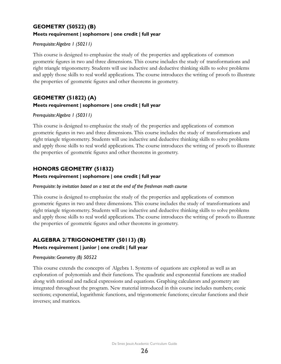## **GEOMETRY (50522) (B) Meets requirement | sophomore | one credit | full year**

#### *Prerequisite: Algebra 1 (50211)*

This course is designed to emphasize the study of the properties and applications of common geometric figures in two and three dimensions. This course includes the study of transformations and right triangle trigonometry. Students will use inductive and deductive thinking skills to solve problems and apply those skills to real world applications. The course introduces the writing of proofs to illustrate the properties of geometric figures and other theorems in geometry.

## **GEOMETRY (51822) (A) Meets requirement | sophomore | one credit | full year**

#### *Prerequisite: Algebra 1 (50311)*

This course is designed to emphasize the study of the properties and applications of common geometric figures in two and three dimensions. This course includes the study of transformations and right triangle trigonometry. Students will use inductive and deductive thinking skills to solve problems and apply those skills to real world applications. The course introduces the writing of proofs to illustrate the properties of geometric figures and other theorems in geometry.

## **HONORS GEOMETRY (51832)**

#### **Meets requirement | sophomore | one credit | full year**

#### *Prerequisite: by invitation based on a test at the end of the freshman math course*

This course is designed to emphasize the study of the properties and applications of common geometric figures in two and three dimensions. This course includes the study of transformations and right triangle trigonometry. Students will use inductive and deductive thinking skills to solve problems and apply those skills to real world applications. The course introduces the writing of proofs to illustrate the properties of geometric figures and other theorems in geometry.

## **ALGEBRA 2/ TRIGONOMETRY (50113) (B)**

#### **Meets requirement | junior | one credit | full year**

#### *Prerequisite: Geometry (B) 50522*

This course extends the concepts of Algebra 1. Systems of equations are explored as well as an exploration of polynomials and their functions. The quadratic and exponential functions are studied along with rational and radical expressions and equations. Graphing calculators and geometry are integrated throughout the program. New material introduced in this course includes numbers; conic sections; exponential, logarithmic functions, and trigonometric functions; circular functions and their inverses; and matrices.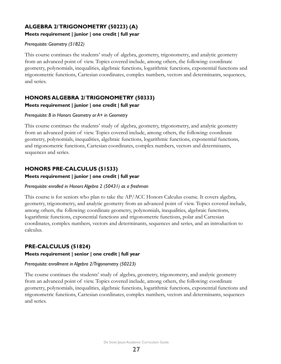## **ALGEBRA 2/ TRIGONOMETRY (50223) (A)**

#### **Meets requirement | junior | one credit | full year**

#### *Prerequisite: Geometry (51822)*

This course continues the students' study of algebra, geometry, trigonometry, and analytic geometry from an advanced point of view. Topics covered include, among others, the following: coordinate geometry, polynomials, inequalities, algebraic functions, logarithmic functions, exponential functions and trigonometric functions, Cartesian coordinates, complex numbers, vectors and determinants, sequences, and series.

## **HONORS ALGEBRA 2/ TRIGONOMETRY (50333) Meets requirement | junior | one credit | full year**

#### *Prerequisite: B in Honors Geometry or A+ in Geometry*

This course continues the students' study of algebra, geometry, trigonometry, and analytic geometry from an advanced point of view. Topics covered include, among others, the following: coordinate geometry, polynomials, inequalities, algebraic functions, logarithmic functions, exponential functions, and trigonometric functions, Cartesian coordinates, complex numbers, vectors and determinants, sequences and series.

## **HONORS PRE-CALCULUS (51533)**

#### **Meets requirement | junior | one credit | full year**

#### *Prerequisite: enrolled in Honors Algebra 2 (50431) as a freshman*

This course is for seniors who plan to take the AP/ACC Honors Calculus course. It covers algebra, geometry, trigonometry, and analytic geometry from an advanced point of view. Topics covered include, among others, the following: coordinate geometry, polynomials, inequalities, algebraic functions, logarithmic functions, exponential functions and trigonometric functions, polar and Cartesian coordinates, complex numbers, vectors and determinants, sequences and series, and an introduction to calculus.

## **PRE-CALCULUS (51824)**

#### **Meets requirement | senior | one credit | full year**

#### *Prerequisite: enrollment in Algebra 2/Trigonometry (50223)*

The course continues the students' study of algebra, geometry, trigonometry, and analytic geometry from an advanced point of view. Topics covered include, among others, the following: coordinate geometry, polynomials, inequalities, algebraic functions, logarithmic functions, exponential functions and trigonometric functions, Cartesian coordinates, complex numbers, vectors and determinants, sequences and series.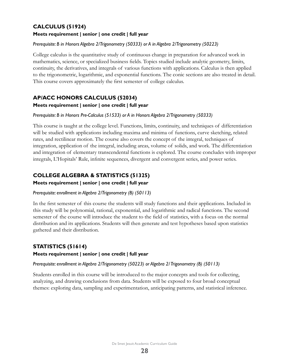## **CALCULUS (51924)**

#### **Meets requirement | senior | one credit | full year**

#### *Prerequisite: B in Honors Algebra 2/Trigonometry (50333) or A in Algebra 2/Trigonometry (50223)*

College calculus is the quantitative study of continuous change in preparation for advanced work in mathematics, science, or specialized business fields. Topics studied include analytic geometry, limits, continuity, the derivatives, and integrals of various functions with applications. Calculus is then applied to the trigonometric, logarithmic, and exponential functions. The conic sections are also treated in detail. This course covers approximately the first semester of college calculus.

## **AP/ACC HONORS CALCULUS (52034) Meets requirement | senior | one credit | full year**

#### *Prerequisite: B in Honors Pre-Calculus (51533) or A in Honors Algebra 2/Trigonometry (50333)*

This course is taught at the college level. Functions, limits, continuity, and techniques of differentiation will be studied with applications including maxima and minima of functions, curve sketching, related rates, and rectilinear motion. The course also covers the concept of the integral, techniques of integration, application of the integral, including areas, volume of solids, and work. The differentiation and integration of elementary transcendental functions is explored. The course concludes with improper integrals, L'Hopitals' Rule, infinite sequences, divergent and convergent series, and power series.

## **COLLEGE ALGEBRA & STATISTICS (51325)**

**Meets requirement | senior | one credit | full year**

#### *Prerequisite: enrollment in Algebra 2/Trigonometry (B) (50113)*

In the first semester of this course the students will study functions and their applications. Included in this study will be polynomial, rational, exponential, and logarithmic and radical functions. The second semester of the course will introduce the student to the field of statistics, with a focus on the normal distribution and its applications. Students will then generate and test hypotheses based upon statistics gathered and their distribution.

## **STATISTICS (51614)**

#### **Meets requirement | senior | one credit | full year**

#### *Prerequisite: enrollment in Algebra 2/Trigonometry (50223) or Algebra 2/ Trigonometry (B) (50113)*

Students enrolled in this course will be introduced to the major concepts and tools for collecting, analyzing, and drawing conclusions from data. Students will be exposed to four broad conceptual themes: exploring data, sampling and experimentation, anticipating patterns, and statistical inference.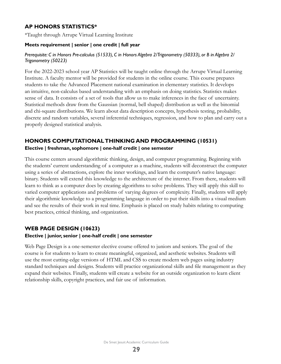## **AP HONORS STATISTICS\***

\*Taught through Arrupe Virtual Learning Institute

#### **Meets requirement | senior | one credit | full year**

#### *Prerequisite: C in Honors Pre-calculus (51533), C in Honors Algebra 2/Trigonometry (50333), or B in Algebra 2/ Trigonometry (50223)*

For the 2022-2023 school year AP Statistics will be taught online through the Arrupe Virtual Learning Institute. A faculty mentor will be provided for students in the online course. This course prepares students to take the Advanced Placement national examination in elementary statistics. It develops an intuitive, non-calculus based understanding with an emphasis on doing statistics. Statistics makes sense of data. It consists of a set of tools that allow us to make inferences in the face of uncertainty. Statistical methods draw from the Gaussian (normal, bell shaped) distribution as well as the binomial and chi-square distributions. We learn about data description concepts, hypothesis testing, probability, discrete and random variables, several inferential techniques, regression, and how to plan and carry out a properly designed statistical analysis.

## **HONORS COMPUTATIONAL THINKING AND PROGRAMMING (10531)**

#### **Elective | freshman, sophomore | one-half credit | one semester**

This course centers around algorithmic thinking, design, and computer programming. Beginning with the students' current understanding of a computer as a machine, students will deconstruct the computer using a series of abstractions, explore the inner workings, and learn the computer's native language: binary. Students will extend this knowledge to the architecture of the internet. From there, students will learn to think as a computer does by creating algorithms to solve problems. They will apply this skill to varied computer applications and problems of varying degrees of complexity. Finally, students will apply their algorithmic knowledge to a programming language in order to put their skills into a visual medium and see the results of their work in real time. Emphasis is placed on study habits relating to computing best practices, critical thinking, and organization.

## **WEB PAGE DESIGN (10623)**

#### **Elective | junior, senior | one-half credit | one semester**

Web Page Design is a one-semester elective course offered to juniors and seniors. The goal of the course is for students to learn to create meaningful, organized, and aesthetic websites. Students will use the most cutting-edge versions of HTML and CSS to create modern web pages using industry standard techniques and designs. Students will practice organizational skills and file management as they expand their websites. Finally, students will create a website for an outside organization to learn client relationship skills, copyright practices, and fair use of information.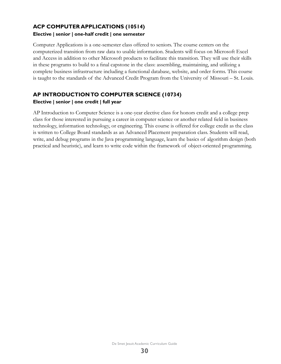## **ACP COMPUTER APPLICATIONS (10514) Elective | senior | one-half credit | one semester**

Computer Applications is a one-semester class offered to seniors. The course centers on the computerized transition from raw data to usable information. Students will focus on Microsoft Excel and Access in addition to other Microsoft products to facilitate this transition. They will use their skills in these programs to build to a final capstone in the class: assembling, maintaining, and utilizing a complete business infrastructure including a functional database, website, and order forms. This course is taught to the standards of the Advanced Credit Program from the University of Missouri – St. Louis.

## **AP INTRODUCTION TO COMPUTER SCIENCE (10734) Elective | senior | one credit | full year**

AP Introduction to Computer Science is a one-year elective class for honors credit and a college prep class for those interested in pursuing a career in computer science or another related field in business technology, information technology, or engineering. This course is offered for college credit as the class is written to College Board standards as an Advanced Placement preparation class. Students will read, write, and debug programs in the Java programming language, learn the basics of algorithm design (both practical and heuristic), and learn to write code within the framework of object-oriented programming.

De Smet Jesuit Academic Curriculum Guide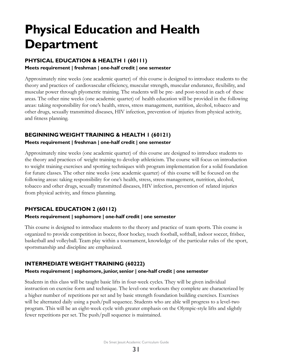# <span id="page-31-0"></span>**Physical Education and Health Department**

## **PHYSICAL EDUCATION & HEALTH 1 (60111)**

#### **Meets requirement | freshman | one-half credit | one semester**

Approximately nine weeks (one academic quarter) of this course is designed to introduce students to the theory and practices of cardiovascular efficiency, muscular strength, muscular endurance, flexibility, and muscular power through plyometric training. The students will be pre- and post-tested in each of these areas. The other nine weeks (one academic quarter) of health education will be provided in the following areas: taking responsibility for one's health, stress, stress management, nutrition, alcohol, tobacco and other drugs, sexually transmitted diseases, HIV infection, prevention of injuries from physical activity, and fitness planning.

## **BEGINNING WEIGHT TRAINING & HEALTH 1 (60121)**

#### **Meets requirement | freshman | one-half credit | one semester**

Approximately nine weeks (one academic quarter) of this course are designed to introduce students to the theory and practices of weight training to develop athleticism. The course will focus on introduction to weight training exercises and spotting techniques with program implementation for a solid foundation for future classes. The other nine weeks (one academic quarter) of this course will be focused on the following areas: taking responsibility for one's health, stress, stress management, nutrition, alcohol, tobacco and other drugs, sexually transmitted diseases, HIV infection, prevention of related injuries from physical activity, and fitness planning.

## **PHYSICAL EDUCATION 2 (60112)**

#### **Meets requirement | sophomore | one-half credit | one semester**

This course is designed to introduce students to the theory and practice of team sports. This course is organized to provide competition in bocce, floor hockey, touch football, softball, indoor soccer, frisbee, basketball and volleyball. Team play within a tournament, knowledge of the particular rules of the sport, sportsmanship and discipline are emphasized.

## **INTERMEDIATE WEIGHT TRAINING (60222)**

#### **Meets requirement | sophomore, junior, senior | one-half credit | one semester**

Students in this class will be taught basic lifts in four-week cycles. They will be given individual instruction on exercise form and technique. The level-one workouts they complete are characterized by a higher number of repetitions per set and by basic strength foundation building exercises. Exercises will be alternated daily using a push/pull sequence. Students who are able will progress to a level-two program. This will be an eight-week cycle with greater emphasis on the Olympic-style lifts and slightly fewer repetitions per set. The push/pull sequence is maintained.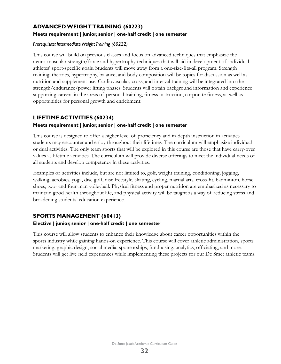## **ADVANCED WEIGHT TRAINING (60223)**

## **Meets requirement | junior, senior | one-half credit | one semester**

### *Prerequisite: Intermediate Weight Training (60222)*

This course will build on previous classes and focus on advanced techniques that emphasize the neuro-muscular strength/force and hypertrophy techniques that will aid in development of individual athletes' sport-specific goals. Students will move away from a one-size-fits-all program. Strength training, theories, hypertrophy, balance, and body composition will be topics for discussion as well as nutrition and supplement use. Cardiovascular, cross, and interval training will be integrated into the strength/endurance/power lifting phases. Students will obtain background information and experience supporting careers in the areas of personal training, fitness instruction, corporate fitness, as well as opportunities for personal growth and enrichment.

## **LIFETIME ACTIVITIES (60234)**

### **Meets requirement | junior, senior | one-half credit | one semester**

This course is designed to offer a higher level of proficiency and in-depth instruction in activities students may encounter and enjoy throughout their lifetimes. The curriculum will emphasize individual or dual activities. The only team sports that will be explored in this course are those that have carry-over values as lifetime activities. The curriculum will provide diverse offerings to meet the individual needs of all students and develop competency in these activities.

Examples of activities include, but are not limited to, golf, weight training, conditioning, jogging, walking, aerobics, yoga, disc golf, disc freestyle, skating, cycling, martial arts, cross-fit, badminton, horse shoes, two- and four-man volleyball. Physical fitness and proper nutrition are emphasized as necessary to maintain good health throughout life, and physical activity will be taught as a way of reducing stress and broadening students' education experience.

## **SPORTS MANAGEMENT (60413)**

#### **Elective | junior, senior | one-half credit | one semester**

This course will allow students to enhance their knowledge about career opportunities within the sports industry while gaining hands-on experience. This course will cover athletic administration, sports marketing, graphic design, social media, sponsorships, fundraising, analytics, officiating, and more. Students will get live field experiences while implementing these projects for our De Smet athletic teams.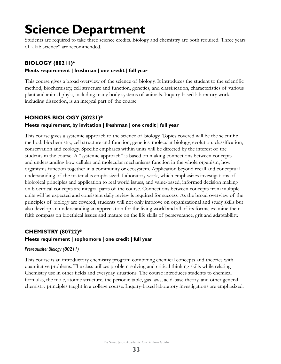# <span id="page-33-0"></span>**Science Department**

Students are required to take three science credits. Biology and chemistry are both required. Three years of a lab science\* are recommended.

## **BIOLOGY (80211)\***

#### **Meets requirement | freshman | one credit | full year**

This course gives a broad overview of the science of biology. It introduces the student to the scientific method, biochemistry, cell structure and function, genetics, and classification, characteristics of various plant and animal phyla, including many body systems of animals. Inquiry-based laboratory work, including dissection, is an integral part of the course.

## **HONORS BIOLOGY (80231)\***

### **Meets requirement, by invitation | freshman | one credit | full year**

This course gives a systemic approach to the science of biology. Topics covered will be the scientific method, biochemistry, cell structure and function, genetics, molecular biology, evolution, classification, conservation and ecology. Specific emphases within units will be directed by the interest of the students in the course. A "systemic approach" is based on making connections between concepts and understanding how cellular and molecular mechanisms function in the whole organism, how organisms function together in a community or ecosystem. Application beyond recall and conceptual understanding of the material is emphasized. Laboratory work, which emphasizes investigations of biological principles and application to real world issues, and value-based, informed decision making on bioethical concepts are integral parts of the course. Connections between concepts from multiple units will be expected and consistent daily review is required for success. As the broad overview of the principles of biology are covered, students will not only improve on organizational and study skills but also develop an understanding an appreciation for the living world and all of its forms, examine their faith compass on bioethical issues and mature on the life skills of perseverance, grit and adaptability.

#### **CHEMISTRY (80722)\* Meets requirement | sophomore | one credit | full year**

## *Prerequisite: Biology (80211)*

This course is an introductory chemistry program combining chemical concepts and theories with quantitative problems. The class utilizes problem-solving and critical thinking skills while relating Chemistry use in other fields and everyday situations. The course introduces students to chemical formulas, the mole, atomic structure, the periodic table, gas laws, acid-base theory, and other general chemistry principles taught in a college course. Inquiry-based laboratory investigations are emphasized.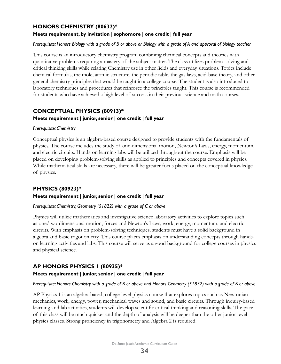## **HONORS CHEMISTRY (80632)\***

#### **Meets requirement, by invitation | sophomore | one credit | full year**

#### *Prerequisite: Honors Biology with a grade of B or above or Biology with a grade of A and approval of biology teacher*

This course is an introductory chemistry program combining chemical concepts and theories with quantitative problems requiring a mastery of the subject matter. The class utilizes problem-solving and critical thinking skills while relating Chemistry use in other fields and everyday situations. Topics include chemical formulas, the mole, atomic structure, the periodic table, the gas laws, acid-base theory, and other general chemistry principles that would be taught in a college course. The student is also introduced to laboratory techniques and procedures that reinforce the principles taught. This course is recommended for students who have achieved a high level of success in their previous science and math courses.

## **CONCEPTUAL PHYSICS (80913)\* Meets requirement | junior, senior | one credit | full year**

#### *Prerequisite: Chemistry*

Conceptual physics is an algebra-based course designed to provide students with the fundamentals of physics. The course includes the study of one-dimensional motion, Newton's Laws, energy, momentum, and electric circuits. Hands-on learning labs will be utilized throughout the course. Emphasis will be placed on developing problem-solving skills as applied to principles and concepts covered in physics. While mathematical skills are necessary, there will be greater focus placed on the conceptual knowledge of physics.

## **PHYSICS (80923)\***

#### **Meets requirement | junior, senior | one credit | full year**

#### *Prerequisite: Chemistry, Geometry (51822) with a grade of C or above*

Physics will utilize mathematics and investigative science laboratory activities to explore topics such as one/two-dimensional motion, forces and Newton's Laws, work, energy, momentum, and electric circuits. With emphasis on problem-solving techniques, students must have a solid background in algebra and basic trigonometry. This course places emphasis on understanding concepts through handson learning activities and labs. This course will serve as a good background for college courses in physics and physical science.

## **AP HONORS PHYSICS 1 (80935)\***

#### **Meets requirement | junior, senior | one credit | full year**

#### *Prerequisite: Honors Chemistry with a grade of B or above and Honors Geometry (51832) with a grade of B or above*

AP Physics 1 is an algebra-based, college-level physics course that explores topics such as Newtonian mechanics, work, energy, power, mechanical waves and sound, and basic circuits. Through inquiry-based learning and lab activities, students will develop scientific critical thinking and reasoning skills. The pace of this class will be much quicker and the depth of analysis will be deeper than the other junior-level physics classes. Strong proficiency in trigonometry and Algebra 2 is required.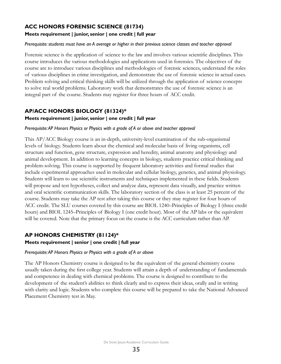## **ACC HONORS FORENSIC SCIENCE (81734)**

#### **Meets requirement | junior, senior | one credit | full year**

#### *Prerequisite: students must have an A average or higher in their previous science classes and teacher approval*

Forensic science is the application of science to the law and involves various scientific disciplines. This course introduces the various methodologies and applications used in forensics. The objectives of the course are to introduce various disciplines and methodologies of forensic sciences, understand the roles of various disciplines in crime investigation, and demonstrate the use of forensic science in actual cases. Problem solving and critical thinking skills will be utilized through the application of science concepts to solve real world problems. Laboratory work that demonstrates the use of forensic science is an integral part of the course. Students may register for three hours of ACC credit.

## **AP/ACC HONORS BIOLOGY (81324)\***

#### **Meets requirement | junior, senior | one credit | full year**

#### *Prerequisite: AP Honors Physics or Physics with a grade of A or above and teacher approval*

This AP/ACC Biology course is an in-depth, university-level examination of the sub-organismal levels of biology. Students learn about the chemical and molecular basis of living organisms, cell structure and function, gene structure, expression and heredity, animal anatomy and physiology and animal development. In addition to learning concepts in biology, students practice critical thinking and problem-solving. This course is supported by frequent laboratory activities and formal studies that include experimental approaches used in molecular and cellular biology, genetics, and animal physiology. Students will learn to use scientific instruments and techniques implemented in these fields. Students will propose and test hypotheses, collect and analyze data, represent data visually, and practice written and oral scientific communication skills. The laboratory section of the class is at least 25 percent of the course. Students may take the AP test after taking this course or they may register for four hours of ACC credit. The SLU courses covered by this course are BIOL 1240–Principles of Biology I (three credit hours) and BIOL 1245–Principles of Biology I (one credit hour). Most of the AP labs or the equivalent will be covered. Note that the primary focus on the course is the ACC curriculum rather than AP.

## **AP HONORS CHEMISTRY (81124)\***

#### **Meets requirement | senior | one credit | full year**

#### *Prerequisite: AP Honors Physics or Physics with a grade of A or above*

The AP Honors Chemistry course is designed to be the equivalent of the general chemistry course usually taken during the first college year. Students will attain a depth of understanding of fundamentals and competence in dealing with chemical problems. The course is designed to contribute to the development of the student's abilities to think clearly and to express their ideas, orally and in writing with clarity and logic. Students who complete this course will be prepared to take the National Advanced Placement Chemistry test in May.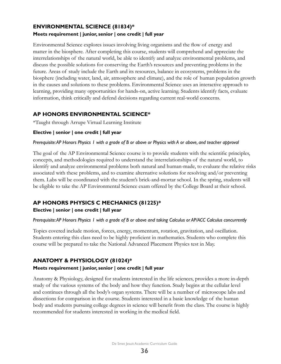## **ENVIRONMENTAL SCIENCE (81834)\* Meets requirement | junior, senior | one credit | full year**

Environmental Science explores issues involving living organisms and the flow of energy and matter in the biosphere. After completing this course, students will comprehend and appreciate the interrelationships of the natural world, be able to identify and analyze environmental problems, and discuss the possible solutions for conserving the Earth's resources and preventing problems in the future. Areas of study include the Earth and its resources, balance in ecosystems, problems in the biosphere (including water, land, air, atmosphere and climate), and the role of human population growth in the causes and solutions to these problems. Environmental Science uses an interactive approach to learning, providing many opportunities for hands-on, active learning. Students identify facts, evaluate information, think critically and defend decisions regarding current real-world concerns.

## **AP HONORS ENVIRONMENTAL SCIENCE\***

\*Taught through Arrupe Virtual Learning Institute

### **Elective | senior | one credit | full year**

#### *Prerequisite: AP Honors Physics 1 with a grade of B or above or Physics with A or above, and teacher approval*

The goal of the AP Environmental Science course is to provide students with the scientific principles, concepts, and methodologies required to understand the interrelationships of the natural world, to identify and analyze environmental problems both natural and human-made, to evaluate the relative risks associated with these problems, and to examine alternative solutions for resolving and/or preventing them. Labs will be coordinated with the student's brick-and-mortar school. In the spring, students will be eligible to take the AP Environmental Science exam offered by the College Board at their school.

## **AP HONORS PHYSICS C MECHANICS (81225)\***

#### **Elective | senior | one credit | full year**

#### *Prerequisite: AP Honors Physics 1 with a grade of B or above and taking Calculus or AP/ACC Calculus concurrently*

Topics covered include motion, forces, energy, momentum, rotation, gravitation, and oscillation. Students entering this class need to be highly proficient in mathematics. Students who complete this course will be prepared to take the National Advanced Placement Physics test in May.

## **ANATOMY & PHYSIOLOGY (81024)\***

#### **Meets requirement | junior, senior | one credit | full year**

Anatomy & Physiology, designed for students interested in the life sciences, provides a more in-depth study of the various systems of the body and how they function. Study begins at the cellular level and continues through all the body's organ systems. There will be a number of microscope labs and dissections for comparison in the course. Students interested in a basic knowledge of the human body and students pursuing college degrees in science will benefit from the class. The course is highly recommended for students interested in working in the medical field.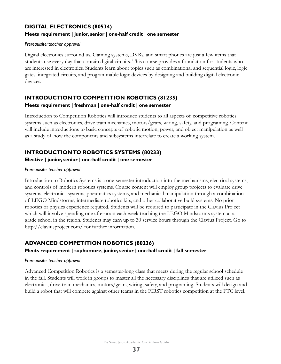### **DIGITAL ELECTRONICS (80534) Meets requirement | junior, senior | one-half credit | one semester**

#### *Prerequisite: teacher approval*

Digital electronics surround us. Gaming systems, DVRs, and smart phones are just a few items that students use every day that contain digital circuits. This course provides a foundation for students who are interested in electronics. Students learn about topics such as combinational and sequential logic, logic gates, integrated circuits, and programmable logic devices by designing and building digital electronic devices.

### **INTRODUCTION TO COMPETITION ROBOTICS (81235) Meets requirement | freshman | one-half credit | one semester**

Introduction to Competition Robotics will introduce students to all aspects of competitive robotics systems such as electronics, drive train mechanics, motors/gears, wiring, safety, and programing. Content will include introductions to basic concepts of robotic motion, power, and object manipulation as well as a study of how the components and subsystems interrelate to create a working system.

## **INTRODUCTION TO ROBOTICS SYSTEMS (80233)**

#### **Elective | junior, senior | one-half credit | one semester**

#### *Prerequisite: teacher approval*

Introduction to Robotics Systems is a one-semester introduction into the mechanisms, electrical systems, and controls of modern robotics systems. Course content will employ group projects to evaluate drive systems, electronics systems, pneumatics systems, and mechanical manipulation through a combination of LEGO Mindstorms, intermediate robotics kits, and other collaborative build systems. No prior robotics or physics experience required. Students will be required to participate in the Clavius Project which will involve spending one afternoon each week teaching the LEGO Mindstorms system at a grade school in the region. Students may earn up to 30 service hours through the Clavius Project. Go to http://claviusproject.com/ for further information.

## **ADVANCED COMPETITION ROBOTICS (80236)**

#### **Meets requirement | sophomore, junior, senior | one-half credit | fall semester**

#### *Prerequisite: teacher approval*

Advanced Competition Robotics is a semester-long class that meets during the regular school schedule in the fall. Students will work in groups to master all the necessary disciplines that are utilized such as electronics, drive train mechanics, motors/gears, wiring, safety, and programing. Students will design and build a robot that will compete against other teams in the FIRST robotics competition at the FTC level.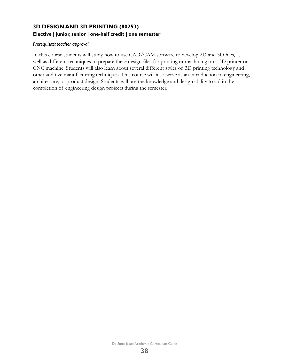## **3D DESIGN AND 3D PRINTING (80253) Elective | junior, senior | one-half credit | one semester**

#### *Prerequisite: teacher approval*

In this course students will study how to use CAD/CAM software to develop 2D and 3D files, as well as different techniques to prepare these design files for printing or machining on a 3D printer or CNC machine. Students will also learn about several different styles of 3D printing technology and other additive manufacturing techniques. This course will also serve as an introduction to engineering, architecture, or product design. Students will use the knowledge and design ability to aid in the completion of engineering design projects during the semester.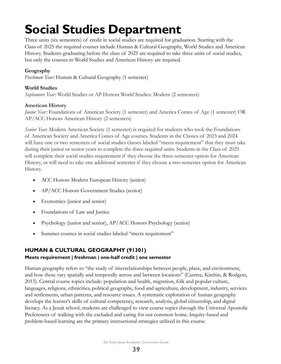# <span id="page-39-0"></span>**Social Studies Department**

Three units (six semesters) of credit in social studies are required for graduation. Starting with the Class of 2025 the required courses include Human & Cultural Geography, World Studies and American History. Students graduating before the class of 2025 are required to take three units of social studies, but only the courses in World Studies and American History are required.

## **Geography**

*Freshman Year:* Human & Cultural Geography (1 semester)

## **World Studies**

*Sophomore Year:* World Studies or AP Honors World Studies: Modern (2 semesters)

### **American History**

*Junior Year: Foundations of American Society (1 semester) and America Comes of Age (1 semester) OR* AP/ACC Honors American History (2 semesters)

*Senior Year*: Modern American Society (1 semester) is required for students who took the Foundations of American Society and America Comes of Age courses. Students in the Classes of 2023 and 2024 will have one or two semesters of social studies classes labeled "meets requirement" that they must take during their junior or senior years to complete the three required units. Students in the Class of 2025 will complete their social studies requirement if they choose the three-semester option for American History, or will need to take one additional semester if they choose a two-semester option for American History.

- ACC Honors Modern European History (senior)
- AP/ACC Honors Government Studies (senior)
- Economics (junior and senior)
- Foundations of Law and Justice
- Psychology (junior and senior), AP/ACC Honors Psychology (senior)
- Summer courses in social studies labeled "meets requirement"

## **HUMAN & CULTURAL GEOGRAPHY (91301)**

## **Meets requirement | freshman | one-half credit | one semester**

Human geography refers to "the study of interrelationships between people, place, and environment, and how these vary spatially and temporally across and between locations" (Castree, Kitchin, & Rodgers, 2013). Central course topics include: population and health, migration, folk and popular culture, languages, religions, ethnicities, political geography, food and agriculture, development, industry, services and settlements, urban patterns, and resource issues. A systematic exploration of human geography develops the learner's skills of cultural competency, research, analysis, global citizenship, and digital literacy. As a Jesuit school, students are challenged to view course topics through the Universal Apostolic Preferences of walking with the excluded and caring for our common home. Inquiry-based and problem-based learning are the primary instructional strategies utilized in this course.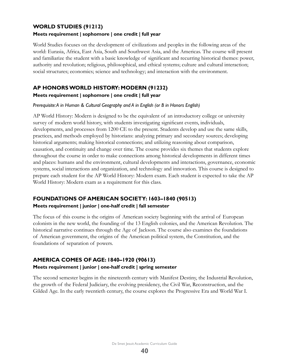#### **WORLD STUDIES (91212)**

#### **Meets requirement | sophomore | one credit | full year**

World Studies focuses on the development of civilizations and peoples in the following areas of the world: Eurasia, Africa, East Asia, South and Southwest Asia, and the Americas. The course will present and familiarize the student with a basic knowledge of significant and recurring historical themes: power, authority and revolution; religious, philosophical, and ethical systems; culture and cultural interaction; social structures; economics; science and technology; and interaction with the environment.

## **AP HONORS WORLD HISTORY: MODERN (91232)**

#### **Meets requirement | sophomore | one credit | full year**

*Prerequisite: A in Human & Cultural Geography and A in English (or B in Honors English)*

AP World History: Modern is designed to be the equivalent of an introductory college or university survey of modern world history, with students investigating significant events, individuals, developments, and processes from 1200 CE to the present. Students develop and use the same skills, practices, and methods employed by historians: analyzing primary and secondary sources; developing historical arguments; making historical connections; and utilizing reasoning about comparison, causation, and continuity and change over time. The course provides six themes that students explore throughout the course in order to make connections among historical developments in different times and places: humans and the environment, cultural developments and interactions, governance, economic systems, social interactions and organization, and technology and innovation. This course is designed to prepare each student for the AP World History: Modern exam. Each student is expected to take the AP World History: Modern exam as a requirement for this class.

## **FOUNDATIONS OF AMERICAN SOCIETY: 1603–1840 (90513) Meets requirement | junior | one-half credit | fall semester**

The focus of this course is the origins of American society beginning with the arrival of European colonists in the new world, the founding of the 13 English colonies, and the American Revolution. The historical narrative continues through the Age of Jackson. The course also examines the foundations of American government, the origins of the American political system, the Constitution, and the foundations of separation of powers.

## **AMERICA COMES OF AGE: 1840–1920 (90613)**

#### **Meets requirement | junior | one-half credit | spring semester**

The second semester begins in the nineteenth century with Manifest Destiny, the Industrial Revolution, the growth of the Federal Judiciary, the evolving presidency, the Civil War, Reconstruction, and the Gilded Age. In the early twentieth century, the course explores the Progressive Era and World War I.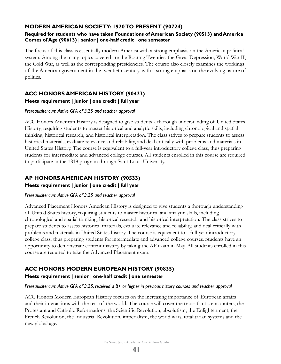## **MODERN AMERICAN SOCIETY: 1920 TO PRESENT (90724)**

#### **Required for students who have taken Foundations of American Society (90513) and America Comes of Age (90613) | senior | one-half credit | one semester**

The focus of this class is essentially modern America with a strong emphasis on the American political system. Among the many topics covered are the Roaring Twenties, the Great Depression, World War II, the Cold War, as well as the corresponding presidencies. The course also closely examines the workings of the American government in the twentieth century, with a strong emphasis on the evolving nature of politics.

## **ACC HONORS AMERICAN HISTORY (90423)**

### **Meets requirement | junior | one credit | full year**

#### *Prerequisite: cumulative GPA of 3.25 and teacher approval*

ACC Honors American History is designed to give students a thorough understanding of United States History, requiring students to master historical and analytic skills, including chronological and spatial thinking, historical research, and historical interpretation. The class strives to prepare students to assess historical materials, evaluate relevance and reliability, and deal critically with problems and materials in United States History. The course is equivalent to a full-year introductory college class, thus preparing students for intermediate and advanced college courses. All students enrolled in this course are required to participate in the 1818 program through Saint Louis University.

## **AP HONORS AMERICAN HISTORY (90533)**

#### **Meets requirement | junior | one credit | full year**

#### *Prerequisite: cumulative GPA of 3.25 and teacher approval*

Advanced Placement Honors American History is designed to give students a thorough understanding of United States history, requiring students to master historical and analytic skills, including chronological and spatial thinking, historical research, and historical interpretation. The class strives to prepare students to assess historical materials, evaluate relevance and reliability, and deal critically with problems and materials in United States history. The course is equivalent to a full-year introductory college class, thus preparing students for intermediate and advanced college courses. Students have an opportunity to demonstrate content mastery by taking the AP exam in May. All students enrolled in this course are required to take the Advanced Placement exam.

## **ACC HONORS MODERN EUROPEAN HISTORY (90835)**

## **Meets requirement | senior | one-half credit | one semester**

#### *Prerequisite: cumulative GPA of 3.25, received a B+ or higher in previous history courses and teacher approval*

ACC Honors Modern European History focuses on the increasing importance of European affairs and their interactions with the rest of the world. The course will cover the transatlantic encounters, the Protestant and Catholic Reformations, the Scientific Revolution, absolutism, the Enlightenment, the French Revolution, the Industrial Revolution, imperialism, the world wars, totalitarian systems and the new global age.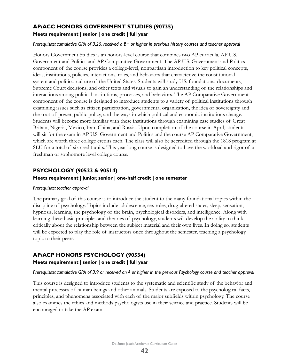## **AP/ACC HONORS GOVERNMENT STUDIES (90735) Meets requirement | senior | one credit | full year**

#### *Prerequisite: cumulative GPA of 3.25, received a B+ or higher in previous history courses and teacher approval*

Honors Government Studies is an honors-level course that combines two AP curricula, AP U.S. Government and Politics and AP Comparative Government. The AP U.S. Government and Politics component of the course provides a college-level, nonpartisan introduction to key political concepts, ideas, institutions, policies, interactions, roles, and behaviors that characterize the constitutional system and political culture of the United States. Students will study U.S. foundational documents, Supreme Court decisions, and other texts and visuals to gain an understanding of the relationships and interactions among political institutions, processes, and behaviors. The AP Comparative Government component of the course is designed to introduce students to a variety of political institutions through examining issues such as citizen participation, governmental organization, the idea of sovereignty and the root of power, public policy, and the ways in which political and economic institutions change. Students will become more familiar with these institutions through examining case studies of Great Britain, Nigeria, Mexico, Iran, China, and Russia. Upon completion of the course in April, students will sit for the exam in AP U.S. Government and Politics and the course AP Comparative Government, which are worth three college credits each. The class will also be accredited through the 1818 program at SLU for a total of six credit units. This year long course is designed to have the workload and rigor of a freshman or sophomore level college course.

#### **PSYCHOLOGY (90523 & 90514)**

#### **Meets requirement | junior, senior | one-half credit | one semester**

#### *Prerequisite: teacher approval*

The primary goal of this course is to introduce the student to the many foundational topics within the discipline of psychology. Topics include adolescence, sex roles, drug-altered states, sleep, sensation, hypnosis, learning, the psychology of the brain, psychological disorders, and intelligence. Along with learning these basic principles and theories of psychology, students will develop the ability to think critically about the relationship between the subject material and their own lives. In doing so, students will be expected to play the role of instructors once throughout the semester, teaching a psychology topic to their peers.

#### **AP/ACP HONORS PSYCHOLOGY (90534)**

#### **Meets requirement | senior | one credit | full year**

#### *Prerequisite: cumulative GPA of 3.9 or received an A or higher in the previous Psychology course and teacher approval*

This course is designed to introduce students to the systematic and scientific study of the behavior and mental processes of human beings and other animals. Students are exposed to the psychological facts, principles, and phenomena associated with each of the major subfields within psychology. The course also examines the ethics and methods psychologists use in their science and practice. Students will be encouraged to take the AP exam.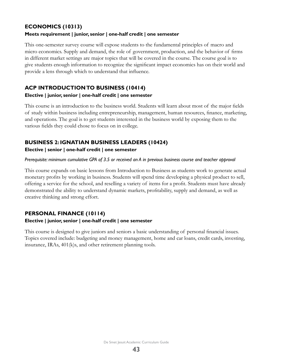### **ECONOMICS (10313)**

#### **Meets requirement | junior, senior | one-half credit | one semester**

This one-semester survey course will expose students to the fundamental principles of macro and micro economics. Supply and demand, the role of government, production, and the behavior of firms in different market settings are major topics that will be covered in the course. The course goal is to give students enough information to recognize the significant impact economics has on their world and provide a lens through which to understand that influence.

### **ACP INTRODUCTION TO BUSINESS (10414)**

#### **Elective | junior, senior | one-half credit | one semester**

This course is an introduction to the business world. Students will learn about most of the major fields of study within business including entrepreneurship, management, human resources, finance, marketing, and operations. The goal is to get students interested in the business world by exposing them to the various fields they could chose to focus on in college.

## **BUSINESS 2: IGNATIAN BUSINESS LEADERS (10424)**

#### **Elective | senior | one-half credit | one semester**

#### *Prerequisite: minimum cumulative GPA of 3.5 or received an A in previous business course and teacher approval*

This course expands on basic lessons from Introduction to Business as students work to generate actual monetary profits by working in business. Students will spend time developing a physical product to sell, offering a service for the school, and reselling a variety of items for a profit. Students must have already demonstrated the ability to understand dynamic markets, profitability, supply and demand, as well as creative thinking and strong effort.

## **PERSONAL FINANCE (10114)**

#### **Elective | junior, senior | one-half credit | one semester**

This course is designed to give juniors and seniors a basic understanding of personal financial issues. Topics covered include: budgeting and money management, home and car loans, credit cards, investing, insurance, IRAs, 401(k)s, and other retirement planning tools.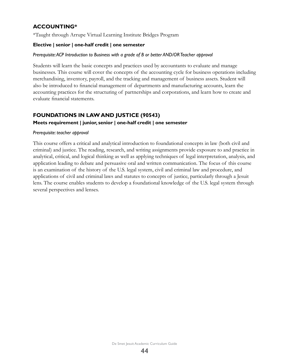## **ACCOUNTING\***

\*Taught through Arrupe Virtual Learning Institute Bridges Program

#### **Elective | senior | one-half credit | one semester**

#### *Prerequisite: ACP Introduction to Business with a grade of B or better AND/OR Teacher approval*

Students will learn the basic concepts and practices used by accountants to evaluate and manage businesses. This course will cover the concepts of the accounting cycle for business operations including merchandising, inventory, payroll, and the tracking and management of business assets. Student will also be introduced to financial management of departments and manufacturing accounts, learn the accounting practices for the structuring of partnerships and corporations, and learn how to create and evaluate financial statements.

### **FOUNDATIONS IN LAW AND JUSTICE (90543) Meets requirement | junior, senior | one-half credit | one semester**

#### *Prerequisite: teacher approval*

This course offers a critical and analytical introduction to foundational concepts in law (both civil and criminal) and justice. The reading, research, and writing assignments provide exposure to and practice in analytical, critical, and logical thinking as well as applying techniques of legal interpretation, analysis, and application leading to debate and persuasive oral and written communication. The focus of this course is an examination of the history of the U.S. legal system, civil and criminal law and procedure, and applications of civil and criminal laws and statutes to concepts of justice, particularly through a Jesuit lens. The course enables students to develop a foundational knowledge of the U.S. legal system through several perspectives and lenses.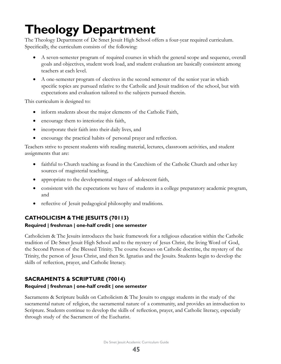# <span id="page-45-0"></span>**Theology Department**

The Theology Department of De Smet Jesuit High School offers a four-year required curriculum. Specifically, the curriculum consists of the following:

- A seven-semester program of required courses in which the general scope and sequence, overall goals and objectives, student work load, and student evaluation are basically consistent among teachers at each level.
- A one-semester program of electives in the second semester of the senior year in which specific topics are pursued relative to the Catholic and Jesuit tradition of the school, but with expectations and evaluation tailored to the subjects pursued therein.

This curriculum is designed to:

- inform students about the major elements of the Catholic Faith,
- encourage them to interiorize this faith,
- incorporate their faith into their daily lives, and
- encourage the practical habits of personal prayer and reflection.

Teachers strive to present students with reading material, lectures, classroom activities, and student assignments that are:

- faithful to Church teaching as found in the Catechism of the Catholic Church and other key sources of magisterial teaching,
- appropriate to the developmental stages of adolescent faith,
- consistent with the expectations we have of students in a college preparatory academic program, and
- reflective of Jesuit pedagogical philosophy and traditions.

## **CATHOLICISM & THE JESUITS (70113)**

## **Required | freshman | one-half credit | one semester**

Catholicism & The Jesuits introduces the basic framework for a religious education within the Catholic tradition of De Smet Jesuit High School and to the mystery of Jesus Christ, the living Word of God, the Second Person of the Blessed Trinity. The course focuses on Catholic doctrine, the mystery of the Trinity, the person of Jesus Christ, and then St. Ignatius and the Jesuits. Students begin to develop the skills of reflection, prayer, and Catholic literacy.

## **SACRAMENTS & SCRIPTURE (70014)**

## **Required | freshman | one-half credit | one semester**

Sacraments & Scripture builds on Catholicism & The Jesuits to engage students in the study of the sacramental nature of religion, the sacramental nature of a community, and provides an introduction to Scripture. Students continue to develop the skills of reflection, prayer, and Catholic literacy, especially through study of the Sacrament of the Eucharist.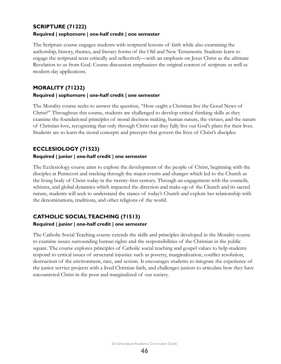#### **SCRIPTURE (71222)**

#### **Required | sophomore | one-half credit | one semester**

The Scripture course engages students with scriptural lessons of faith while also examining the authorship, history, themes, and literary forms of the Old and New Testaments. Students learn to engage the scriptural texts critically and reflectively—with an emphasis on Jesus Christ as the ultimate Revelation to us from God. Course discussion emphasizes the original context of scripture as well as modern day applications.

#### **MORALITY (71232)**

#### **Required | sophomore | one-half credit | one semester**

The Morality course seeks to answer the question, "How ought a Christian live the Good News of Christ?" Throughout this course, students are challenged to develop critical thinking skills as they examine the foundational principles of moral decision making, human nature, the virtues, and the nature of Christian love, recognizing that only through Christ can they fully live out God's plans for their lives. Students are to learn the moral concepts and precepts that govern the lives of Christ's disciples.

### **ECCLESIOLOGY (71523) Required | junior | one-half credit | one semester**

The Ecclesiology course aims to explore the development of the people of Christ, beginning with the disciples at Pentecost and tracking through the major events and changes which led to the Church as the living body of Christ today in the twenty-first century. Through an engagement with the councils, schisms, and global dynamics which impacted the direction and make-up of the Church and its sacred nature, students will seek to understand the stance of today's Church and explore her relationship with the denominations, traditions, and other religions of the world.

# **CATHOLIC SOCIAL TEACHING (71513)**

#### **Required | junior | one-half credit | one semester**

The Catholic Social Teaching course extends the skills and principles developed in the Morality course to examine issues surrounding human rights and the responsibilities of the Christian in the public square. The course explores principles of Catholic social teaching and gospel values to help students respond to critical issues of structural injustice such as poverty, marginalization, conflict resolution, destruction of the environment, race, and sexism. It encourages students to integrate the experience of the junior service projects with a lived Christian faith, and challenges juniors to articulate how they have encountered Christ in the poor and marginalized of our society.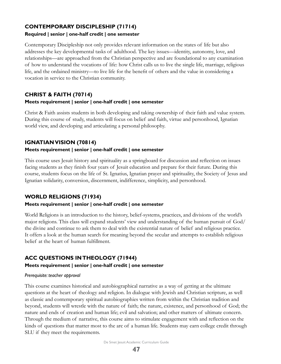## **CONTEMPORARY DISCIPLESHIP (71714)**

#### **Required | senior | one-half credit | one semester**

Contemporary Discipleship not only provides relevant information on the states of life but also addresses the key developmental tasks of adulthood. The key issues—identity, autonomy, love, and relationships—are approached from the Christian perspective and are foundational to any examination of how to understand the vocations of life: how Christ calls us to live the single life, marriage, religious life, and the ordained ministry—to live life for the benefit of others and the value in considering a vocation in service to the Christian community.

### **CHRIST & FAITH (70714) Meets requirement | senior | one-half credit | one semester**

Christ & Faith assists students in both developing and taking ownership of their faith and value system. During this course of study, students will focus on belief and faith, virtue and personhood, Ignatian world view, and developing and articulating a personal philosophy.

## **IGNATIAN VISION (70814)**

#### **Meets requirement | senior | one-half credit | one semester**

This course uses Jesuit history and spirituality as a springboard for discussion and reflection on issues facing students as they finish four years of Jesuit education and prepare for their future. During this course, students focus on the life of St. Ignatius, Ignatian prayer and spirituality, the Society of Jesus and Ignatian solidarity, conversion, discernment, indifference, simplicity, and personhood.

## **WORLD RELIGIONS (71934)**

#### **Meets requirement | senior | one-half credit | one semester**

World Religions is an introduction to the history, belief-systems, practices, and divisions of the world's major religions. This class will expand students' view and understanding of the human pursuit of God/ the divine and continue to ask them to deal with the existential nature of belief and religious practice. It offers a look at the human search for meaning beyond the secular and attempts to establish religious belief at the heart of human fulfillment.

## **ACC QUESTIONS IN THEOLOGY (71944)**

#### **Meets requirement | senior | one-half credit | one semester**

#### *Prerequisite: teacher approval*

This course examines historical and autobiographical narrative as a way of getting at the ultimate questions at the heart of theology and religion. In dialogue with Jewish and Christian scripture, as well as classic and contemporary spiritual autobiographies written from within the Christian tradition and beyond, students will wrestle with the nature of faith; the nature, existence, and personhood of God; the nature and ends of creation and human life; evil and salvation; and other matters of ultimate concern. Through the medium of narrative, this course aims to stimulate engagement with and reflection on the kinds of questions that matter most to the arc of a human life. Students may earn college credit through SLU if they meet the requirements.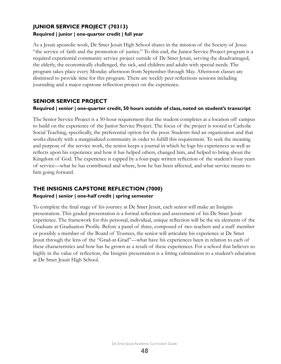## **JUNIOR SERVICE PROJECT (70313) Required | junior | one-quarter credit | full year**

As a Jesuit apostolic work, De Smet Jesuit High School shares in the mission of the Society of Jesus: "the service of faith and the promotion of justice." To this end, the Junior Service Project program is a required experiential community service project outside of De Smet Jesuit, serving the disadvantaged, the elderly, the economically challenged, the sick, and children and adults with special needs. The program takes place every Monday afternoon from September through May. Afternoon classes are dismissed to provide time for this program. There are weekly peer reflections sessions including journaling and a major capstone reflection project on the experience.

### **SENIOR SERVICE PROJECT**

#### **Required | senior | one-quarter credit, 50 hours outside of class, noted on student's transcript**

The Senior Service Project is a 50-hour requirement that the student completes at a location off campus to build on the experience of the Junior Service Project. The focus of the project is rooted in Catholic Social Teaching, specifically, the preferential option for the poor. Students find an organization and that works directly with a marginalized community in order to fulfill this requirement. To seek the meaning and purpose of the service work, the senior keeps a journal in which he logs his experiences as well as reflects upon his experience and how it has helped others, changed him, and helped to bring about the Kingdom of God. The experience is capped by a four-page written reflection of the student's four years of service—what he has contributed and where, how he has been affected, and what service means to him going forward.

## **THE INSIGNIS CAPSTONE REFLECTION (7000)**

#### **Required | senior | one-half credit | spring semester**

To complete the final stage of his journey at De Smet Jesuit, each senior will make an Insignis presentation. This graded presentation is a formal reflection and assessment of his De Smet Jesuit experience. The framework for this personal, individual, unique reflection will be the six elements of the Graduate at Graduation Profile. Before a panel of three, composed of two teachers and a staff member or possibly a member of the Board of Trustees, the senior will articulate his experience at De Smet Jesuit through the lens of the "Grad-at-Grad"—what have his experiences been in relation to each of these characteristics and how has he grown as a result of these experiences. For a school that believes so highly in the value of reflection, the Insignis presentation is a fitting culmination to a student's education at De Smet Jesuit High School.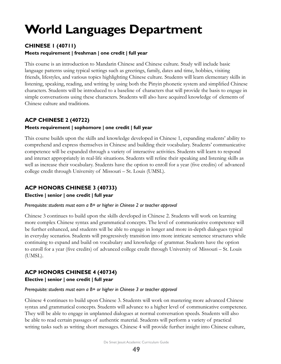# <span id="page-49-0"></span>**World Languages Department**

## **CHINESE 1 (40711)**

#### **Meets requirement | freshman | one credit | full year**

This course is an introduction to Mandarin Chinese and Chinese culture. Study will include basic language patterns using typical settings such as greetings, family, dates and time, hobbies, visiting friends, lifestyles, and various topics highlighting Chinese culture. Students will learn elementary skills in listening, speaking, reading, and writing by using both the Pinyin phonetic system and simplified Chinese characters. Students will be introduced to a baseline of characters that will provide the basis to engage in simple conversations using these characters. Students will also have acquired knowledge of elements of Chinese culture and traditions.

## **ACP CHINESE 2 (40722)**

### **Meets requirement | sophomore | one credit | full year**

This course builds upon the skills and knowledge developed in Chinese 1, expanding students' ability to comprehend and express themselves in Chinese and building their vocabulary. Students' communicative competence will be expanded through a variety of interactive activities. Students will learn to respond and interact appropriately in real-life situations. Students will refine their speaking and listening skills as well as increase their vocabulary. Students have the option to enroll for a year (five credits) of advanced college credit through University of Missouri – St. Louis (UMSL).

## **ACP HONORS CHINESE 3 (40733)**

#### **Elective | senior | one credit | full year**

#### *Prerequisite: students must earn a B+ or higher in Chinese 2 or teacher approval*

Chinese 3 continues to build upon the skills developed in Chinese 2. Students will work on learning more complex Chinese syntax and grammatical concepts. The level of communicative competence will be further enhanced, and students will be able to engage in longer and more in-depth dialogues typical in everyday scenarios. Students will progressively transition into more intricate sentence structures while continuing to expand and build on vocabulary and knowledge of grammar. Students have the option to enroll for a year (five credits) of advanced college credit through University of Missouri – St. Louis (UMSL).

## **ACP HONORS CHINESE 4 (40734)**

#### **Elective | senior | one credit | full year**

#### *Prerequisite: students must earn a B+ or higher in Chinese 3 or teacher approval*

Chinese 4 continues to build upon Chinese 3. Students will work on mastering more advanced Chinese syntax and grammatical concepts. Students will advance to a higher level of communicative competence. They will be able to engage in unplanned dialogues at normal conversation speeds. Students will also be able to read certain passages of authentic material. Students will perform a variety of practical writing tasks such as writing short messages. Chinese 4 will provide further insight into Chinese culture,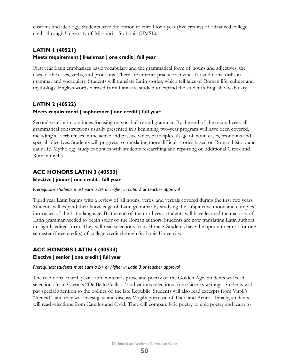customs and ideology. Students have the option to enroll for a year (five credits) of advanced college credit through University of Missouri – St. Louis (UMSL).

## **LATIN 1 (40521) Meets requirement | freshman | one credit | full year**

First year Latin emphasizes basic vocabulary and the grammatical form of nouns and adjectives, the uses of the cases, verbs, and pronouns. There are internet practice activities for additional drills in grammar and vocabulary. Students will translate Latin stories, which tell tales of Roman life, culture and mythology. English words derived from Latin are studied to expand the student's English vocabulary.

## **LATIN 2 (40522) Meets requirement | sophomore | one credit | full year**

Second year Latin continues focusing on vocabulary and grammar. By the end of the second year, all grammatical constructions usually presented in a beginning two-year program will have been covered, including all verb tenses in the active and passive voice, participles, usage of noun cases, pronouns and special adjectives. Students will progress to translating more difficult stories based on Roman history and daily life. Mythology study continues with students researching and reporting on additional Greek and Roman myths.

## **ACC HONORS LATIN 3 (40533)**

**Elective | junior | one credit | full year**

#### *Prerequisite: students must earn a B+ or higher in Latin 2 or teacher approval*

Third year Latin begins with a review of all nouns, verbs, and verbals covered during the first two years. Students will expand their knowledge of Latin grammar by studying the subjunctive mood and complex intricacies of the Latin language. By the end of the third year, students will have learned the majority of Latin grammar needed to begin study of the Roman authors. Students are now translating Latin authors in slightly edited form. They will read selections from Horace. Students have the option to enroll for one semester (three credits) of college credit through St. Louis University.

## **ACC HONORS LATIN 4 (40534)**

#### **Elective | senior | one credit | full year**

#### *Prerequisite: students must earn a B+ or higher in Latin 3 or teacher approval*

The traditional fourth year Latin content is prose and poetry of the Golden Age. Students will read selections from Caesar's "De Bello Gallico" and various selections from Cicero's writings. Students will pay special attention to the politics of the late Republic. Students will also read excerpts from Virgil's "Aeneid," and they will investigate and discuss Virgil's portrayal of Dido and Aeneas. Finally, students will read selections from Catullus and Ovid. They will compare lyric poetry to epic poetry and learn to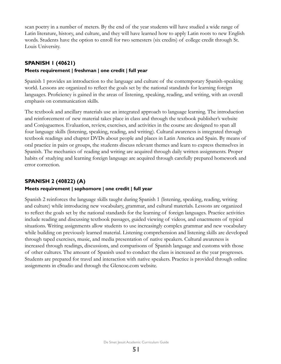scan poetry in a number of meters. By the end of the year students will have studied a wide range of Latin literature, history, and culture, and they will have learned how to apply Latin roots to new English words. Students have the option to enroll for two semesters (six credits) of college credit through St. Louis University.

#### **SPANISH 1 (40621)**

#### **Meets requirement | freshman | one credit | full year**

Spanish 1 provides an introduction to the language and culture of the contemporary Spanish-speaking world. Lessons are organized to reflect the goals set by the national standards for learning foreign languages. Proficiency is gained in the areas of listening, speaking, reading, and writing, with an overall emphasis on communication skills.

The textbook and ancillary materials use an integrated approach to language learning. The introduction and reinforcement of new material takes place in class and through the textbook publisher's website and Conjuguemos. Evaluation, review, exercises, and activities in the course are designed to span all four language skills (listening, speaking, reading, and writing). Cultural awareness is integrated through textbook readings and chapter DVDs about people and places in Latin America and Spain. By means of oral practice in pairs or groups, the students discuss relevant themes and learn to express themselves in Spanish. The mechanics of reading and writing are acquired through daily written assignments. Proper habits of studying and learning foreign language are acquired through carefully prepared homework and error correction.

### **SPANISH 2 (40822) (A)**

#### **Meets requirement | sophomore | one credit | full year**

Spanish 2 reinforces the language skills taught during Spanish 1 (listening, speaking, reading, writing and culture) while introducing new vocabulary, grammar, and cultural materials. Lessons are organized to reflect the goals set by the national standards for the learning of foreign languages. Practice activities include reading and discussing textbook passages, guided viewing of videos, and enactments of typical situations. Writing assignments allow students to use increasingly complex grammar and new vocabulary while building on previously learned material. Listening comprehension and listening skills are developed through taped exercises, music, and media presentation of native speakers. Cultural awareness is increased through readings, discussions, and comparisons of Spanish language and customs with those of other cultures. The amount of Spanish used to conduct the class is increased as the year progresses. Students are prepared for travel and interaction with native speakers. Practice is provided through online assignments in eStudio and through the Glencoe.com website.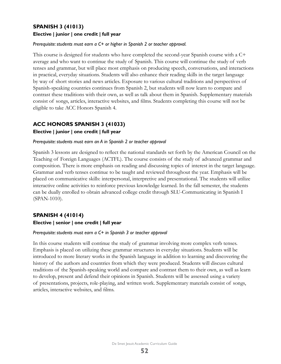## **SPANISH 3 (41013) Elective | junior | one credit | full year**

#### *Prerequisite: students must earn a C+ or higher in Spanish 2 or teacher approval.*

This course is designed for students who have completed the second-year Spanish course with a C+ average and who want to continue the study of Spanish. This course will continue the study of verb tenses and grammar, but will place most emphasis on producing speech, conversations, and interactions in practical, everyday situations. Students will also enhance their reading skills in the target language by way of short stories and news articles. Exposure to various cultural traditions and perspectives of Spanish-speaking countries continues from Spanish 2, but students will now learn to compare and contrast these traditions with their own, as well as talk about them in Spanish. Supplementary materials consist of songs, articles, interactive websites, and films. Students completing this course will not be eligible to take ACC Honors Spanish 4.

## **ACC HONORS SPANISH 3 (41033)**

#### **Elective | junior | one credit | full year**

#### *Prerequisite: students must earn an A in Spanish 2 or teacher approval*

Spanish 3 lessons are designed to reflect the national standards set forth by the American Council on the Teaching of Foreign Languages (ACTFL). The course consists of the study of advanced grammar and composition. There is more emphasis on reading and discussing topics of interest in the target language. Grammar and verb tenses continue to be taught and reviewed throughout the year. Emphasis will be placed on communicative skills: interpersonal, interpretive and presentational. The students will utilize interactive online activities to reinforce previous knowledge learned. In the fall semester, the students can be dually enrolled to obtain advanced college credit through SLU-Communicating in Spanish I (SPAN-1010).

## **SPANISH 4 (41014)**

#### **Elective | senior | one credit | full year**

#### *Prerequisite: students must earn a C+ in Spanish 3 or teacher approval*

In this course students will continue the study of grammar involving more complex verb tenses. Emphasis is placed on utilizing these grammar structures in everyday situations. Students will be introduced to more literary works in the Spanish language in addition to learning and discovering the history of the authors and countries from which they were produced. Students will discuss cultural traditions of the Spanish-speaking world and compare and contrast them to their own, as well as learn to develop, present and defend their opinions in Spanish. Students will be assessed using a variety of presentations, projects, role-playing, and written work. Supplementary materials consist of songs, articles, interactive websites, and films.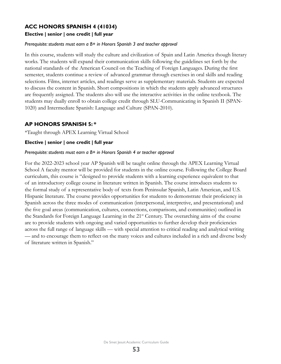## **ACC HONORS SPANISH 4 (41034)**

#### **Elective | senior | one credit | full year**

#### *Prerequisite: students must earn a B+ in Honors Spanish 3 and teacher approval*

In this course, students will study the culture and civilization of Spain and Latin America though literary works. The students will expand their communication skills following the guidelines set forth by the national standards of the American Council on the Teaching of Foreign Languages. During the first semester, students continue a review of advanced grammar through exercises in oral skills and reading selections. Films, internet articles, and readings serve as supplementary materials. Students are expected to discuss the content in Spanish. Short compositions in which the students apply advanced structures are frequently assigned. The students also will use the interactive activities in the online textbook. The students may dually enroll to obtain college credit through SLU-Communicating in Spanish II (SPAN-1020) and Intermediate Spanish: Language and Culture (SPAN-2010).

#### **AP HONORS SPANISH 5: \***

\*Taught through APEX Learning Virtual School

#### **Elective | senior | one credit | full year**

#### *Prerequisite: students must earn a B+ in Honors Spanish 4 or teacher approval*

For the 2022-2023 school year AP Spanish will be taught online through the APEX Learning Virtual School A faculty mentor will be provided for students in the online course. Following the College Board curriculum, this course is "designed to provide students with a learning experience equivalent to that of an introductory college course in literature written in Spanish. The course introduces students to the formal study of a representative body of texts from Peninsular Spanish, Latin American, and U.S. Hispanic literature. The course provides opportunities for students to demonstrate their proficiency in Spanish across the three modes of communication (interpersonal, interpretive, and presentational) and the five goal areas (communication, cultures, connections, comparisons, and communities) outlined in the Standards for Foreign Language Learning in the 21st Century. The overarching aims of the course are to provide students with ongoing and varied opportunities to further develop their proficiencies across the full range of language skills — with special attention to critical reading and analytical writing — and to encourage them to reflect on the many voices and cultures included in a rich and diverse body of literature written in Spanish."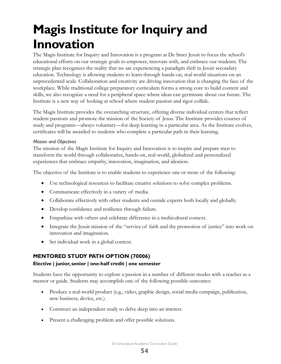# <span id="page-54-0"></span>**Magis Institute for Inquiry and Innovation**

The Magis Institute for Inquiry and Innovation is a program at De Smet Jesuit to focus the school's educational efforts on our strategic goals to empower, innovate with, and embrace our students. The strategic plan recognizes the reality that we are experiencing a paradigm shift in Jesuit secondary education. Technology is allowing students to learn through hands-on, real-world situations on an unprecedented scale. Collaboration and creativity are driving innovation that is changing the face of the workplace. While traditional college preparatory curriculum forms a strong core to build content and skills, we also recognize a need for a peripheral space where ideas can germinate about our future. The Institute is a new way of looking at school where student passion and rigor collide.

The Magis Institute provides the overarching structure, offering diverse individual centers that reflect student passions and promote the mission of the Society of Jesus. The Institute provides courses of study and programs—always voluntary—for deep learning in a particular area. As the Institute evolves, certificates will be awarded to students who complete a particular path in their learning.

#### *Mission and Objectives*

The mission of the Magis Institute for Inquiry and Innovation is to inspire and prepare men to transform the world through collaborative, hands-on, real-world, globalized and personalized experiences that embrace empathy, innovation, imagination, and ideation.

The objective of the Institute is to enable students to experience one or more of the following:

- Use technological resources to facilitate creative solutions to solve complex problems.
- Communicate effectively in a variety of media.
- Collaborate effectively with other students and outside experts both locally and globally.
- Develop confidence and resilience through failure.
- • Empathize with others and celebrate difference in a multicultural context.
- Integrate the Jesuit mission of the "service of faith and the promotion of justice" into work on innovation and imagination.
- Set individual work in a global context.

## **MENTORED STUDY PATH OPTION (70006)**

#### **Elective | junior, senior | one-half credit | one semester**

Students have the opportunity to explore a passion in a number of different modes with a teacher as a mentor or guide. Students may accomplish one of the following possible outcomes:

- Produce a real-world product (e.g., video, graphic design, social media campaign, publication, new business, device, etc.).
- Construct an independent study to delve deep into an interest.
- Present a challenging problem and offer possible solutions.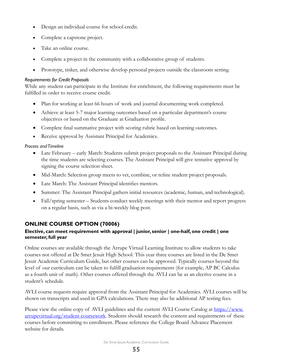- Design an individual course for school credit.
- Complete a capstone project.
- Take an online course.
- Complete a project in the community with a collaborative group of students.
- Prototype, tinker, and otherwise develop personal projects outside the classroom setting.

#### *Requirements for Credit Proposals*

While any student can participate in the Institute for enrichment, the following requirements must be fulfilled in order to receive course credit.

- Plan for working at least 66 hours of work and journal documenting work completed.
- Achieve at least 5-7 major learning outcomes based on a particular department's course objectives or based on the Graduate at Graduation profile.
- Complete final summative project with scoring rubric based on learning outcomes.
- Receive approval by Assistant Principal for Academics.

#### *Process and Timeline*

- Late February early March: Students submit project proposals to the Assistant Principal during the time students are selecting courses. The Assistant Principal will give tentative approval by signing the course selection sheet.
- Mid-March: Selection group meets to vet, combine, or refine student project proposals.
- Late March: The Assistant Principal identifies mentors.
- Summer: The Assistant Principal gathers initial resources (academic, human, and technological).
- Fall/spring semester Students conduct weekly meetings with their mentor and report progress on a regular basis, such as via a bi-weekly blog post.

## **ONLINE COURSE OPTION (70006)**

### **Elective, can meet requirement with approval | junior, senior | one-half, one credit | one semester, full year**

Online courses are available through the Arrupe Virtual Learning Institute to allow students to take courses not offered at De Smet Jesuit High School. This year three courses are listed in the De Smet Jesuit Academic Curriculum Guide, but other courses can be approved. Typically courses beyond the level of our curriculum can be taken to fulfill graduation requirements (for example, AP BC Calculus as a fourth unit of math). Other courses offered through the AVLI can be as an elective course in a student's schedule.

AVLI course requests require approval from the Assistant Principal for Academics. AVLI courses will be shown on transcripts and used in GPA calculations. There may also be additional AP testing fees.

Please view the online copy of AVLI guidelines and the current AVLI Course Catalog at https://www. arrupevirtual.org/student-coursework. Students should research the content and requirements of these courses before committing to enrollment. Please reference the College Board Advance Placement website for details.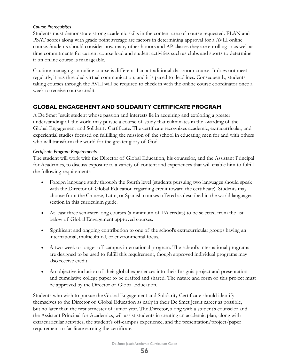#### *Course Prerequisites*

Students must demonstrate strong academic skills in the content area of course requested. PLAN and PSAT scores along with grade point average are factors in determining approval for a AVLI online course. Students should consider how many other honors and AP classes they are enrolling in as well as time commitments for current course load and student activities such as clubs and sports to determine if an online course is manageable.

Caution: managing an online course is different than a traditional classroom course. It does not meet regularly, it has threaded virtual communication, and it is paced to deadlines. Consequently, students taking courses through the AVLI will be required to check in with the online course coordinator once a week to receive course credit.

## **GLOBAL ENGAGEMENT AND SOLIDARITY CERTIFICATE PROGRAM**

A De Smet Jesuit student whose passion and interests lie in acquiring and exploring a greater understanding of the world may pursue a course of study that culminates in the awarding of the Global Engagement and Solidarity Certificate. The certificate recognizes academic, extracurricular, and experiential studies focused on fulfilling the mission of the school in educating men for and with others who will transform the world for the greater glory of God.

#### *Certificate Program Requirements*

The student will work with the Director of Global Education, his counselor, and the Assistant Principal for Academics, to discuss exposure to a variety of content and experiences that will enable him to fulfill the following requirements:

- Foreign language study through the fourth level (students pursuing two languages should speak with the Director of Global Education regarding credit toward the certificate). Students may choose from the Chinese, Latin, or Spanish courses offered as described in the world languages section in this curriculum guide.
- At least three semester-long courses (a minimum of 1<sup>1</sup>/<sub>2</sub> credits) to be selected from the list below of Global Engagement approved courses.
- Significant and ongoing contribution to one of the school's extracurricular groups having an international, multicultural, or environmental focus.
- A two-week or longer off-campus international program. The school's international programs are designed to be used to fulfill this requirement, though approved individual programs may also receive credit.
- An objective inclusion of their global experiences into their Insignis project and presentation and cumulative college paper to be drafted and shared. The nature and form of this project must be approved by the Director of Global Education.

Students who wish to pursue the Global Engagement and Solidarity Certificate should identify themselves to the Director of Global Education as early in their De Smet Jesuit career as possible, but no later than the first semester of junior year. The Director, along with a student's counselor and the Assistant Principal for Academics, will assist students in creating an academic plan, along with extracurricular activities, the student's off-campus experience, and the presentation/project/paper requirement to facilitate earning the certificate.

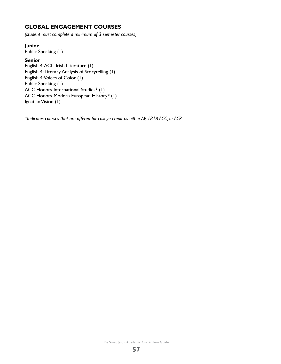## **GLOBAL ENGAGEMENT COURSES**

*(student must complete a minimum of 3 semester courses)*

#### **Junior**

Public Speaking (1)

#### **Senior**

English 4: ACC Irish Literature (1) English 4: Literary Analysis of Storytelling (1) English 4: Voices of Color (1) Public Speaking (1) ACC Honors International Studies\* (1) ACC Honors Modern European History\* (1) Ignatian Vision (1)

*\*Indicates courses that are offered for college credit as either AP, 1818 ACC, or ACP.*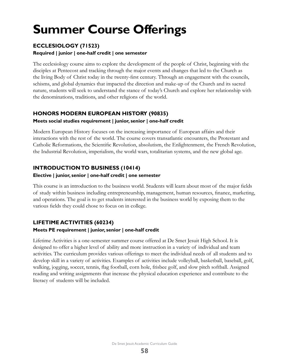# <span id="page-58-0"></span>**Summer Course Offerings**

## **ECCLESIOLOGY (71523)**

#### **Required | junior | one-half credit | one semester**

The ecclesiology course aims to explore the development of the people of Christ, beginning with the disciples at Pentecost and tracking through the major events and changes that led to the Church as the living Body of Christ today in the twenty-first century. Through an engagement with the councils, schisms, and global dynamics that impacted the direction and make-up of the Church and its sacred nature, students will seek to understand the stance of today's Church and explore her relationship with the denominations, traditions, and other religions of the world.

## **HONORS MODERN EUROPEAN HISTORY (90835)**

### **Meets social studies requirement | junior, senior | one-half credit**

Modern European History focuses on the increasing importance of European affairs and their interactions with the rest of the world. The course covers transatlantic encounters, the Protestant and Catholic Reformations, the Scientific Revolution, absolutism, the Enlightenment, the French Revolution, the Industrial Revolution, imperialism, the world wars, totalitarian systems, and the new global age.

## **INTRODUCTION TO BUSINESS (10414)**

### **Elective | junior, senior | one-half credit | one semester**

This course is an introduction to the business world. Students will learn about most of the major fields of study within business including entrepreneurship, management, human resources, finance, marketing, and operations. The goal is to get students interested in the business world by exposing them to the various fields they could chose to focus on in college.

## **LIFETIME ACTIVITIES (60234)**

## **Meets PE requirement | junior, senior | one-half credit**

Lifetime Activities is a one-semester summer course offered at De Smet Jesuit High School. It is designed to offer a higher level of ability and more instruction in a variety of individual and team activities. The curriculum provides various offerings to meet the individual needs of all students and to develop skill in a variety of activities. Examples of activities include volleyball, basketball, baseball, golf, walking, jogging, soccer, tennis, flag football, corn hole, frisbee golf, and slow pitch softball. Assigned reading and writing assignments that increase the physical education experience and contribute to the literacy of students will be included.

De Smet Jesuit Academic Curriculum Guide